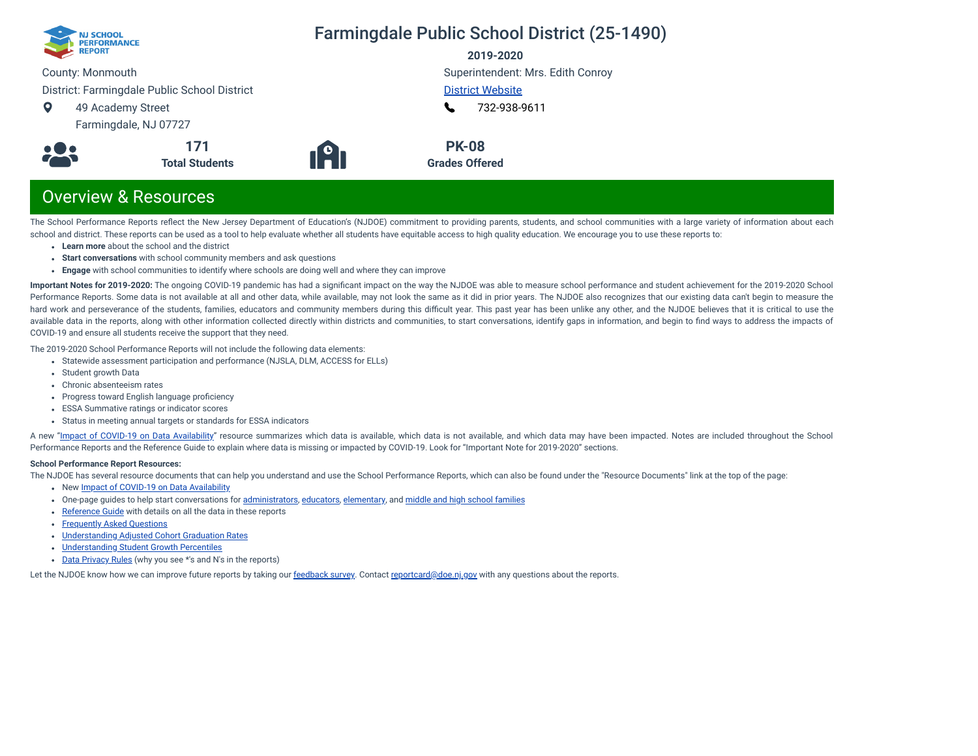

## Farmingdale Public School District (25-1490)

**2019-2020**

County: Monmouth

District: Farmingdale Public School District

 $\bullet$ 49 Academy Street

Farmingdale, NJ 07727



Superintendent: Mrs. Edith Conroy [District Website](https://farmingdaleschool.com/)

[732-938-9611](tel:+732-938-9611)  $\mathbf{L}$ 

**PK-08 Grades Offered**

## Overview & Resources

The School Performance Reports reflect the New Jersey Department of Education's (NJDOE) commitment to providing parents, students, and school communities with a large variety of information about each school and district. These reports can be used as a tool to help evaluate whether all students have equitable access to high quality education. We encourage you to use these reports to:

- **Learn more** about the school and the district
- **Start conversations** with school community members and ask questions

**171 Total Students**

**Engage** with school communities to identify where schools are doing well and where they can improve

**Important Notes for 2019-2020:** The ongoing COVID-19 pandemic has had a signicant impact on the way the NJDOE was able to measure school performance and student achievement for the 2019-2020 School Performance Reports. Some data is not available at all and other data, while available, may not look the same as it did in prior years. The NJDOE also recognizes that our existing data can't begin to measure the hard work and perseverance of the students, families, educators and community members during this difficult year. This past year has been unlike any other, and the NJDOE believes that it is critical to use the available data in the reports, along with other information collected directly within districts and communities, to start conversations, identify gaps in information, and begin to find ways to address the impacts of COVID-19 and ensure all students receive the support that they need.

The 2019-2020 School Performance Reports will not include the following data elements:

- Statewide assessment participation and performance (NJSLA, DLM, ACCESS for ELLs)
- Student growth Data
- Chronic absenteeism rates
- Progress toward English language proficiency
- ESSA Summative ratings or indicator scores
- Status in meeting annual targets or standards for ESSA indicators

A new "Impact of [COVID-19 on](https://www.nj.gov/education/schoolperformance/resources/docs/2019-20%20School%20Performance%20Reports%20-%20Impact%20of%20COVID-19%20on%20Data%20Availability.pdf) Data Availability" resource summarizes which data is available, which data is not available, and which data may have been impacted. Notes are included throughout the School Performance Reports and the Reference Guide to explain where data is missing or impacted by COVID-19. Look for "Important Note for 2019-2020" sections.

#### **School Performance Report Resources:**

The NJDOE has several resource documents that can help you understand and use the School Performance Reports, which can also be found under the "Resource Documents" link at the top of the page:

- New Impact of [COVID-19 on](https://www.nj.gov/education/schoolperformance/resources/docs/2019-20%20School%20Performance%20Reports%20-%20Impact%20of%20COVID-19%20on%20Data%20Availability.pdf) Data Availability
- One-page guides to help start conversations for [administrators](https://www.nj.gov/education/schoolperformance/resources/docs/2019-20%20School%20Performance%20Reports%20-%20One-Page%20Guides%20-%20Administrators.pdf), [educators](https://www.nj.gov/education/schoolperformance/resources/docs/2019-20%20School%20Performance%20Reports%20-%20One-Page%20Guides%20-%20Educators.pdf), [elementary](https://www.nj.gov/education/schoolperformance/resources/docs/2019-20%20School%20Performance%20Reports%20-%20One-Page%20Guides%20-%20FamiliesCommunities.pdf), and middle and high school [families](https://www.nj.gov/education/schoolperformance/resources/docs/2019-20%20School%20Performance%20Reports%20-%20One-Page%20Guides%20-%20MS%20and%20HS.pdf)
- [Reference](https://rc.doe.state.nj.us/Documents/1920/ReferenceGuide.pdf) Guide with details on all the data in these reports
- [Frequently](https://rc.doe.state.nj.us/Documents/1920/FAQs.pdf) Asked Questions
- [Understanding](https://www.nj.gov/education/schoolperformance/grad/docs/Understanding%20Adjusted%20Cohort%20Graduation%20Rates.pdf) Adjusted Cohort Graduation Rates
- [Understanding](https://www.nj.gov/education/schoolperformance/growth/Understanding%20Median%20Student%20Growth%20Percentiles.pdf) Student Growth Percentiles
- Data [Privacy](https://rc.doe.state.nj.us/Documents/1920/DataPrivacyRules.pdf) Rules (why you see \*'s and N's in the reports)

Let the NJDOE know how we can improve future reports by taking our [feedback](https://www.surveymonkey.com/r/2019-20SPR) survey. Contact [reportcard@doe.nj.gov](mailto:reportcard@doe.nj.gov) with any questions about the reports.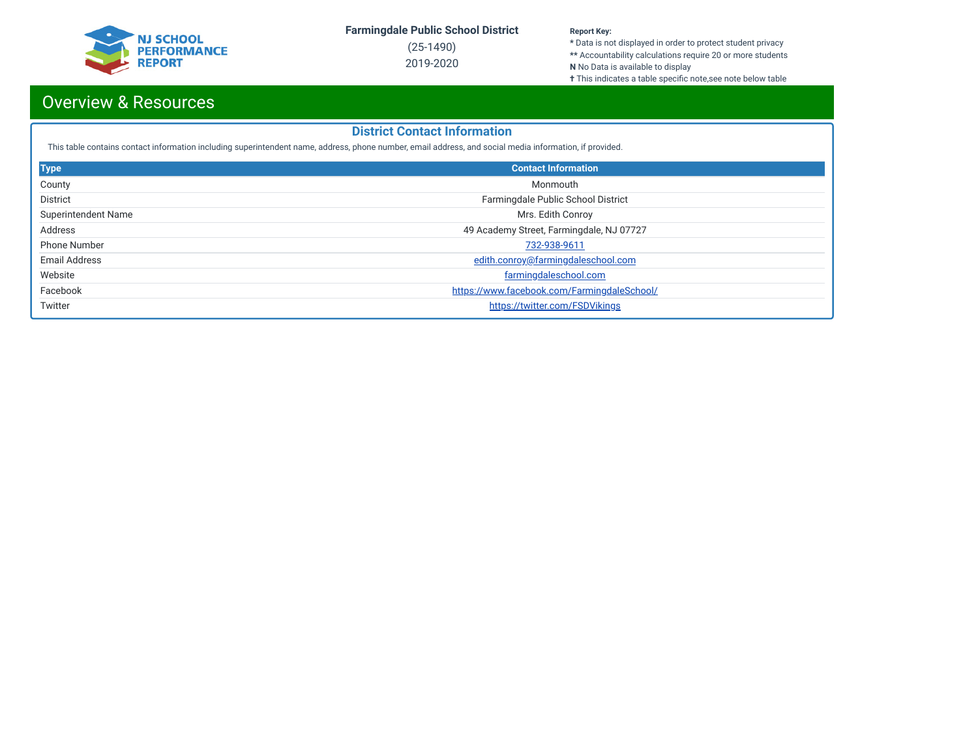

(25-1490) 2019-2020

#### **Report Key:**

**\*** Data is not displayed in order to protect student privacy **\*\*** Accountability calculations require 20 or more students **N** No Data is available to display

**†** This indicates a table specific note,see note below table

## Overview & Resources

## **District Contact Information**

This table contains contact information including superintendent name, address, phone number, email address, and social media information, if provided.

| <b>Type</b>                | <b>Contact Information</b>                  |
|----------------------------|---------------------------------------------|
| County                     | Monmouth                                    |
| <b>District</b>            | Farmingdale Public School District          |
| <b>Superintendent Name</b> | Mrs. Edith Conroy                           |
| Address                    | 49 Academy Street, Farmingdale, NJ 07727    |
| <b>Phone Number</b>        | 732-938-9611                                |
| Email Address              | edith.conroy@farmingdaleschool.com          |
| Website                    | farmingdaleschool.com                       |
| Facebook                   | https://www.facebook.com/FarmingdaleSchool/ |
| Twitter                    | https://twitter.com/FSDVikings              |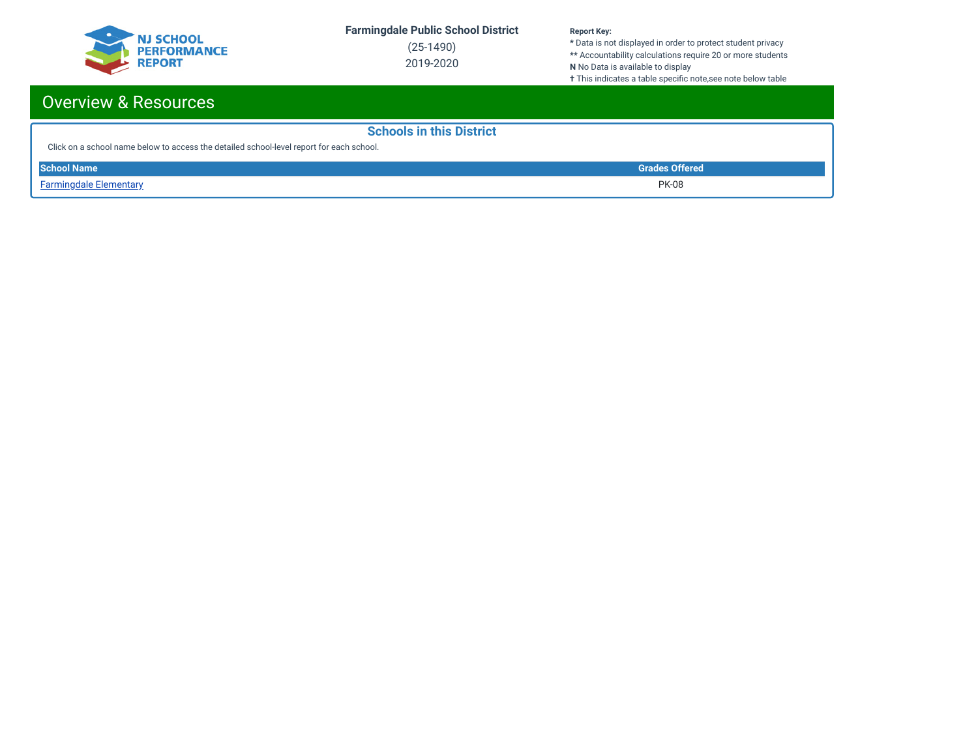

(25-1490) 2019-2020

#### **Report Key:**

**\*** Data is not displayed in order to protect student privacy **\*\*** Accountability calculations require 20 or more students **N** No Data is available to display

**†** This indicates a table specific note,see note below table

## Overview & Resources

| <b>Schools in this District</b>                                                          |                       |
|------------------------------------------------------------------------------------------|-----------------------|
| Click on a school name below to access the detailed school-level report for each school. |                       |
| <b>School Name</b>                                                                       | <b>Grades Offered</b> |
| <b>Farmingdale Elementary</b>                                                            | <b>PK-08</b>          |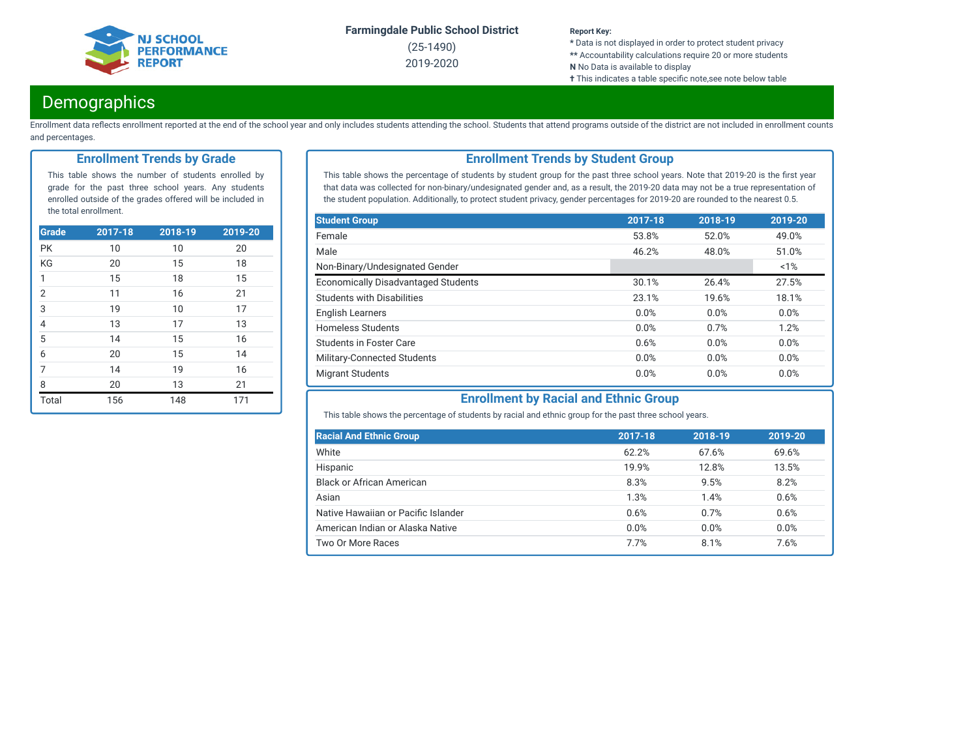

(25-1490) 2019-2020

#### **Report Key:**

**\*** Data is not displayed in order to protect student privacy **\*\*** Accountability calculations require 20 or more students

- **N** No Data is available to display
- **†** This indicates a table specific note,see note below table

## **Demographics**

Enrollment data reflects enrollment reported at the end of the school year and only includes students attending the school. Students that attend programs outside of the district are not included in enrollment counts and percentages.

### **Enrollment Trends by Grade**

This table shows the number of students enrolled by grade for the past three school years. Any students enrolled outside of the grades offered will be included in the total enrollment.

| <b>Grade</b>   | 2017-18 | $2018 - 19$ | 2019-20 |
|----------------|---------|-------------|---------|
| <b>PK</b>      | 10      | 10          | 20      |
| KG             | 20      | 15          | 18      |
| 1              | 15      | 18          | 15      |
| $\overline{2}$ | 11      | 16          | 21      |
| $\overline{3}$ | 19      | 10          | 17      |
| $\overline{4}$ | 13      | 17          | 13      |
| $\overline{5}$ | 14      | 15          | 16      |
| $\overline{6}$ | 20      | 15          | 14      |
| $\overline{7}$ | 14      | 19          | 16      |
| 8              | 20      | 13          | 21      |
| Total          | 156     | 148         | 171     |

## **Enrollment Trends by Student Group**

This table shows the percentage of students by student group for the past three school years. Note that 2019-20 is the first year that data was collected for non-binary/undesignated gender and, as a result, the 2019-20 data may not be a true representation of the student population. Additionally, to protect student privacy, gender percentages for 2019-20 are rounded to the nearest 0.5.

| <b>Student Group</b>                       | 2017-18 | 2018-19 | 2019-20 |
|--------------------------------------------|---------|---------|---------|
| Female                                     | 53.8%   | 52.0%   | 49.0%   |
| Male                                       | 46.2%   | 48.0%   | 51.0%   |
| Non-Binary/Undesignated Gender             |         |         | $~1\%$  |
| <b>Economically Disadvantaged Students</b> | 30.1%   | 26.4%   | 27.5%   |
| <b>Students with Disabilities</b>          | 23.1%   | 19.6%   | 18.1%   |
| <b>English Learners</b>                    | 0.0%    | 0.0%    | 0.0%    |
| <b>Homeless Students</b>                   | 0.0%    | 0.7%    | 1.2%    |
| <b>Students in Foster Care</b>             | 0.6%    | 0.0%    | 0.0%    |
| Military-Connected Students                | 0.0%    | 0.0%    | 0.0%    |
| <b>Migrant Students</b>                    | 0.0%    | 0.0%    | 0.0%    |

## **Enrollment by Racial and Ethnic Group**

This table shows the percentage of students by racial and ethnic group for the past three school years.

| <b>Racial And Ethnic Group</b>      | 2017-18 | 2018-19 | 2019-20 |
|-------------------------------------|---------|---------|---------|
| White                               | 62.2%   | 67.6%   | 69.6%   |
| Hispanic                            | 19.9%   | 12.8%   | 13.5%   |
| <b>Black or African American</b>    | 8.3%    | 9.5%    | 8.2%    |
| Asian                               | 1.3%    | 1.4%    | 0.6%    |
| Native Hawaiian or Pacific Islander | 0.6%    | 0.7%    | 0.6%    |
| American Indian or Alaska Native    | 0.0%    | 0.0%    | 0.0%    |
| Two Or More Races                   | 7.7%    | 8.1%    | 7.6%    |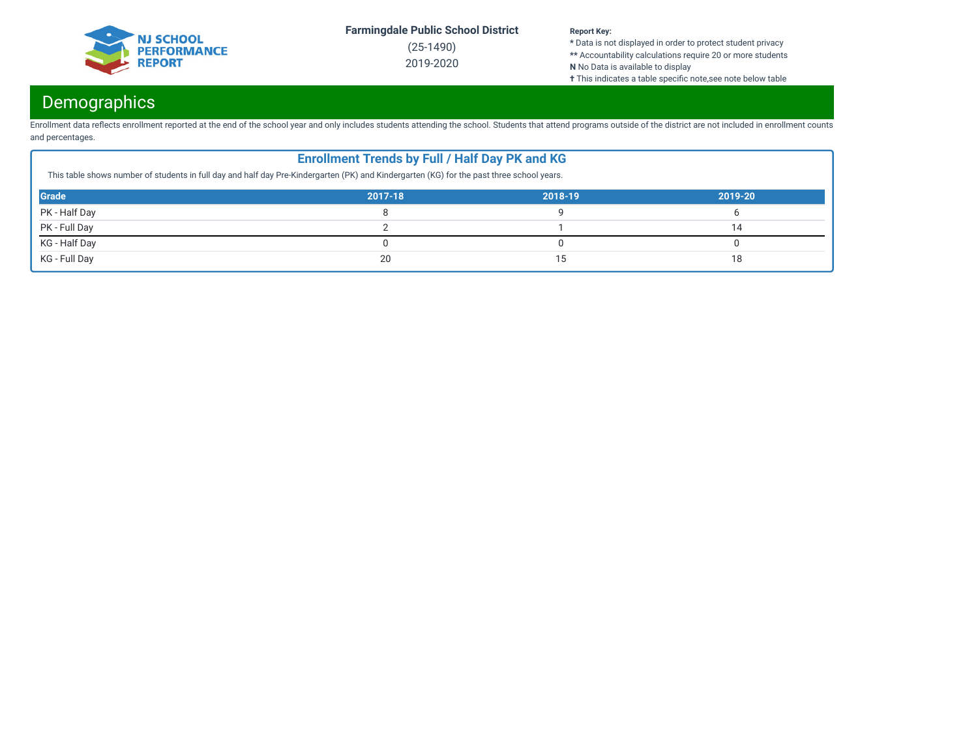

(25-1490) 2019-2020

#### **Report Key:**

**\*** Data is not displayed in order to protect student privacy **\*\*** Accountability calculations require 20 or more students **N** No Data is available to display

**†** This indicates a table specific note,see note below table

## Demographics

Enrollment data reflects enrollment reported at the end of the school year and only includes students attending the school. Students that attend programs outside of the district are not included in enrollment counts and percentages.

| This table shows number of students in full day and half day Pre-Kindergarten (PK) and Kindergarten (KG) for the past three school years. | <b>Enrollment Trends by Full / Half Day PK and KG</b> |         |         |
|-------------------------------------------------------------------------------------------------------------------------------------------|-------------------------------------------------------|---------|---------|
| <b>Grade</b>                                                                                                                              | 2017-18                                               | 2018-19 | 2019-20 |
| PK - Half Day                                                                                                                             |                                                       |         |         |
| PK - Full Day                                                                                                                             |                                                       |         | 14      |
| KG - Half Day                                                                                                                             |                                                       |         |         |
| KG - Full Day                                                                                                                             | 20                                                    | ۱5      | 18      |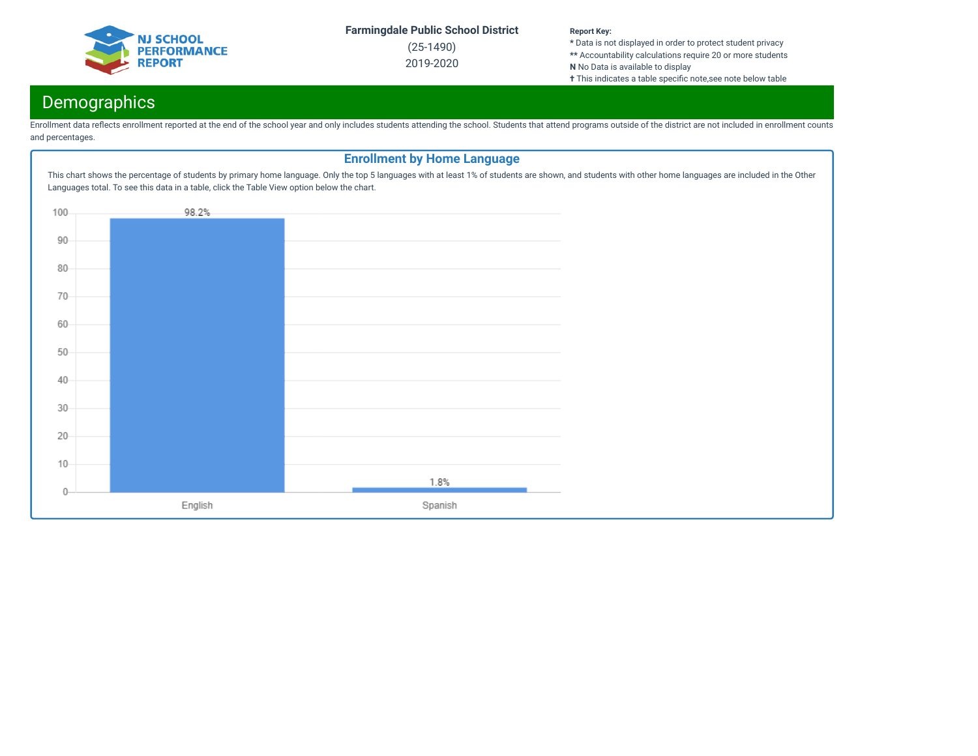

(25-1490) 2019-2020

#### **Report Key:**

**\*** Data is not displayed in order to protect student privacy **\*\*** Accountability calculations require 20 or more students **N** No Data is available to display

**†** This indicates a table specific note,see note below table

## Demographics

Enrollment data reflects enrollment reported at the end of the school year and only includes students attending the school. Students that attend programs outside of the district are not included in enrollment counts and percentages.

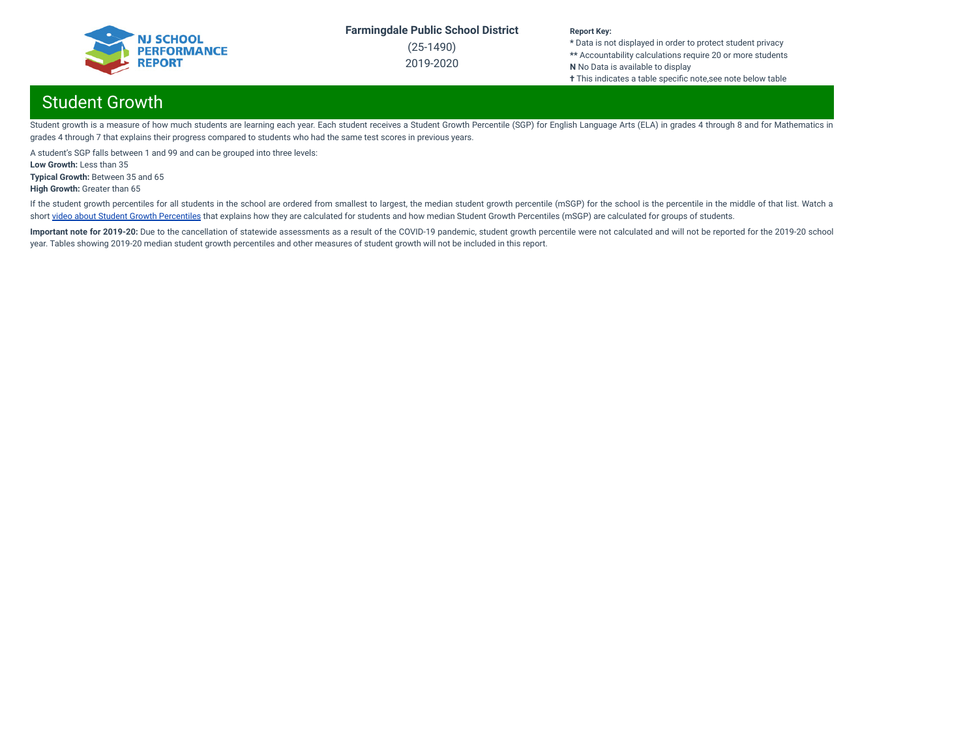

(25-1490) 2019-2020

#### **Report Key:**

**\*** Data is not displayed in order to protect student privacy **\*\*** Accountability calculations require 20 or more students **N** No Data is available to display **†** This indicates a table specific note,see note below table

## Student Growth

Student growth is a measure of how much students are learning each year. Each student receives a Student Growth Percentile (SGP) for English Language Arts (ELA) in grades 4 through 8 and for Mathematics in grades 4 through 7 that explains their progress compared to students who had the same test scores in previous years.

A student's SGP falls between 1 and 99 and can be grouped into three levels:

**Low Growth:** Less than 35

**Typical Growth:** Between 35 and 65

**High Growth:** Greater than 65

If the student growth percentiles for all students in the school are ordered from smallest to largest, the median student growth percentile (mSGP) for the school is the percentile in the middle of that list. Watch a short video about Student Growth [Percentiles](http://digitallearning.pcgus.com/NJSMART/sgps/story.html) that explains how they are calculated for students and how median Student Growth Percentiles (mSGP) are calculated for groups of students.

Important note for 2019-20: Due to the cancellation of statewide assessments as a result of the COVID-19 pandemic, student growth percentile were not calculated and will not be reported for the 2019-20 school year. Tables showing 2019-20 median student growth percentiles and other measures of student growth will not be included in this report.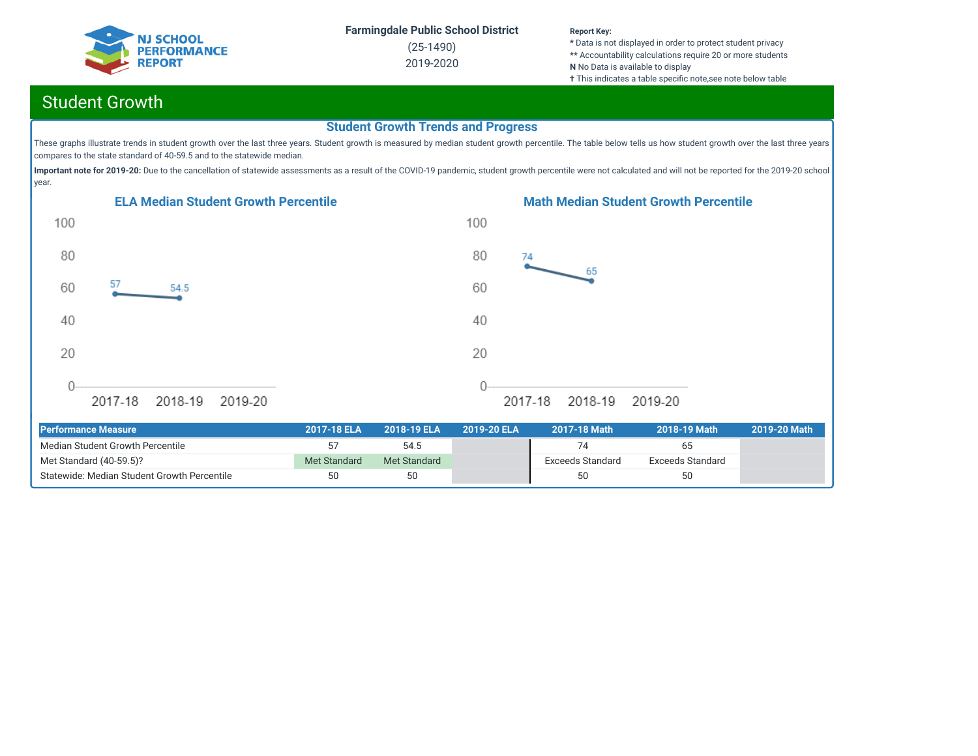

(25-1490) 2019-2020

#### **Report Key:**

**\*** Data is not displayed in order to protect student privacy **\*\*** Accountability calculations require 20 or more students **N** No Data is available to display **†** This indicates a table specific note, see note below table

## Student Growth

## **Student Growth Trends and Progress**

These graphs illustrate trends in student growth over the last three years. Student growth is measured by median student growth percentile. The table below tells us how student growth over the last three years compares to the state standard of 40-59.5 and to the statewide median.

Important note for 2019-20: Due to the cancellation of statewide assessments as a result of the COVID-19 pandemic, student growth percentile were not calculated and will not be reported for the 2019-20 school year.





| <b>Performance Measure</b>                  | 2017-18 ELA  | 2018-19 ELA  | 2019-20 ELA | 2017-18 Math            | 2018-19 Math     | 2019-20 Math |
|---------------------------------------------|--------------|--------------|-------------|-------------------------|------------------|--------------|
| Median Student Growth Percentile            |              | 54.5         |             |                         | 65               |              |
| Met Standard (40-59.5)?                     | Met Standard | Met Standard |             | <b>Exceeds Standard</b> | Exceeds Standard |              |
| Statewide: Median Student Growth Percentile | 50           | 50           |             | 50                      | 50               |              |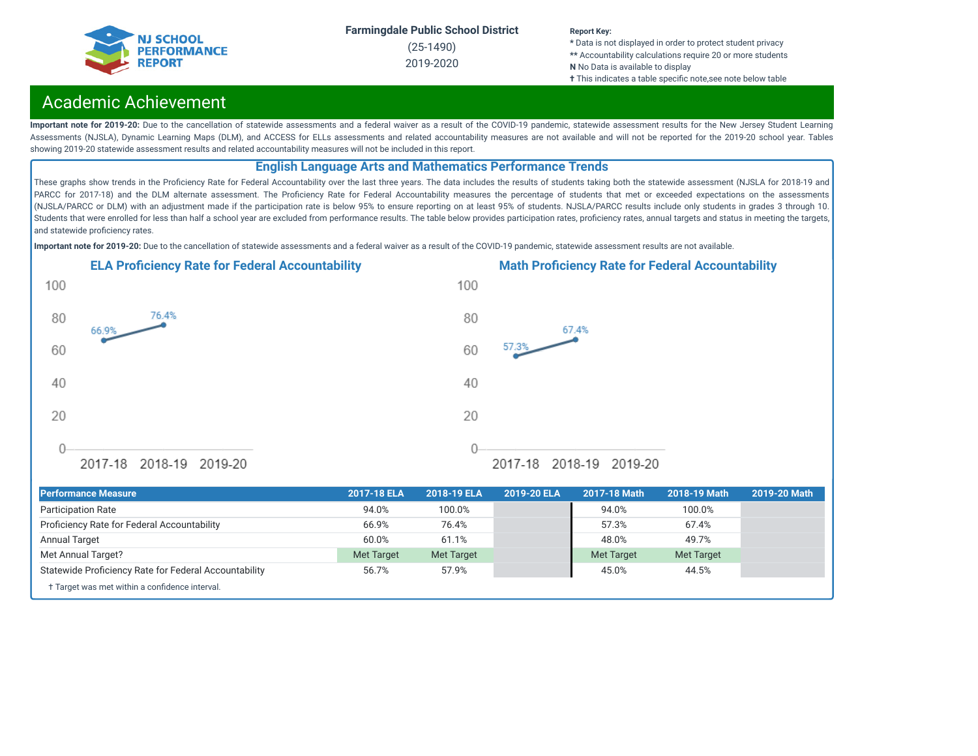

(25-1490) 2019-2020

#### **Report Key:**

**\*** Data is not displayed in order to protect student privacy **\*\*** Accountability calculations require 20 or more students **N** No Data is available to display **†** This indicates a table specific note, see note below table

## Academic Achievement

Important note for 2019-20: Due to the cancellation of statewide assessments and a federal waiver as a result of the COVID-19 pandemic, statewide assessment results for the New Jersey Student Learning Assessments (NJSLA), Dynamic Learning Maps (DLM), and ACCESS for ELLs assessments and related accountability measures are not available and will not be reported for the 2019-20 school year. Tables showing 2019-20 statewide assessment results and related accountability measures will not be included in this report.

## **English Language Arts and Mathematics Performance Trends**

These graphs show trends in the Proficiency Rate for Federal Accountability over the last three years. The data includes the results of students taking both the statewide assessment (NJSLA for 2018-19 and PARCC for 2017-18) and the DLM alternate assessment. The Proficiency Rate for Federal Accountability measures the percentage of students that met or exceeded expectations on the assessments (NJSLA/PARCC or DLM) with an adjustment made if the participation rate is below 95% to ensure reporting on at least 95% of students. NJSLA/PARCC results include only students in grades 3 through 10. Students that were enrolled for less than half a school year are excluded from performance results. The table below provides participation rates, proficiency rates, annual targets and status in meeting the targets, and statewide proficiency rates.

**Important note for 2019-20:** Due to the cancellation of statewide assessments and a federal waiver as a result of the COVID-19 pandemic, statewide assessment results are not available.





† Target was met within a confidence interval. **Performance Measure 2017-18 ELA 2018-19 ELA 2019-20 ELA 2017-18 Math 2018-19 Math 2019-20 Math** Participation Rate 94.0% 100.0% 94.0% 100.0% Prociency Rate for Federal Accountability 66.9% 76.4% 57.3% 67.4% Annual Target 60.0% 61.1% 48.0% 49.7% Met Annual Target? Met Target Met Target Met Target Met Target Statewide Proficiency Rate for Federal Accountability 65.7% 57.9% 57.9% 45.0% 45.0% 44.5%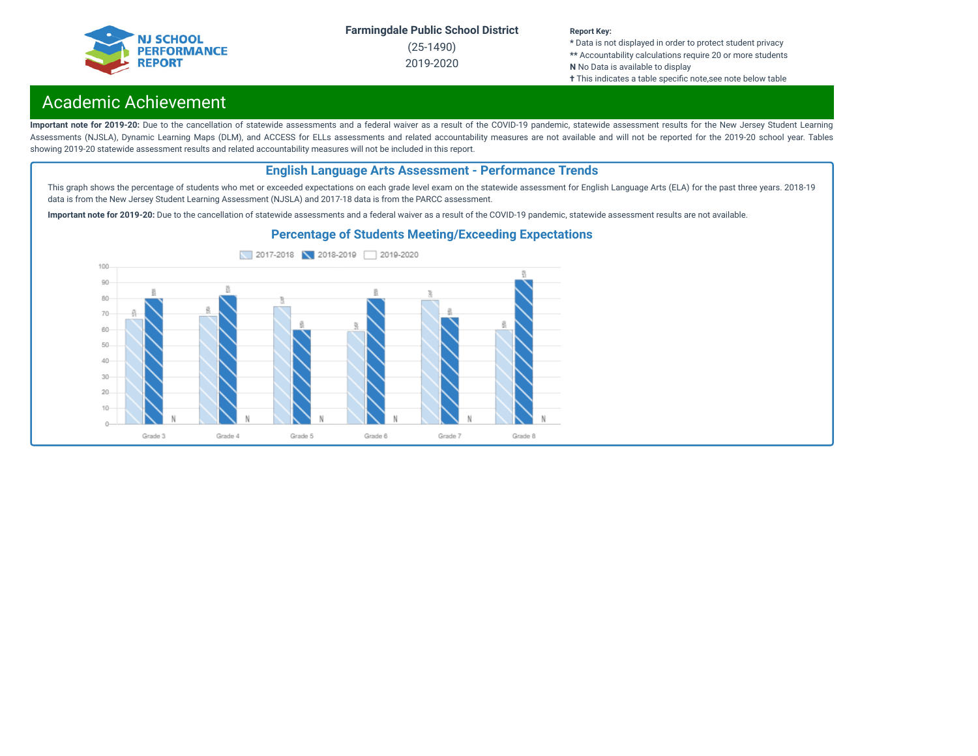

(25-1490) 2019-2020

#### **Report Key:**

**\*** Data is not displayed in order to protect student privacy **\*\*** Accountability calculations require 20 or more students **N** No Data is available to display **†** This indicates a table specific note, see note below table

## Academic Achievement

Important note for 2019-20: Due to the cancellation of statewide assessments and a federal waiver as a result of the COVID-19 pandemic, statewide assessment results for the New Jersey Student Learning Assessments (NJSLA), Dynamic Learning Maps (DLM), and ACCESS for ELLs assessments and related accountability measures are not available and will not be reported for the 2019-20 school year. Tables showing 2019-20 statewide assessment results and related accountability measures will not be included in this report.

## **English Language Arts Assessment - Performance Trends**

This graph shows the percentage of students who met or exceeded expectations on each grade level exam on the statewide assessment for English Language Arts (ELA) for the past three years. 2018-19 data is from the New Jersey Student Learning Assessment (NJSLA) and 2017-18 data is from the PARCC assessment.

**Important note for 2019-20:** Due to the cancellation of statewide assessments and a federal waiver as a result of the COVID-19 pandemic, statewide assessment results are not available.



### **Percentage of Students Meeting/Exceeding Expectations**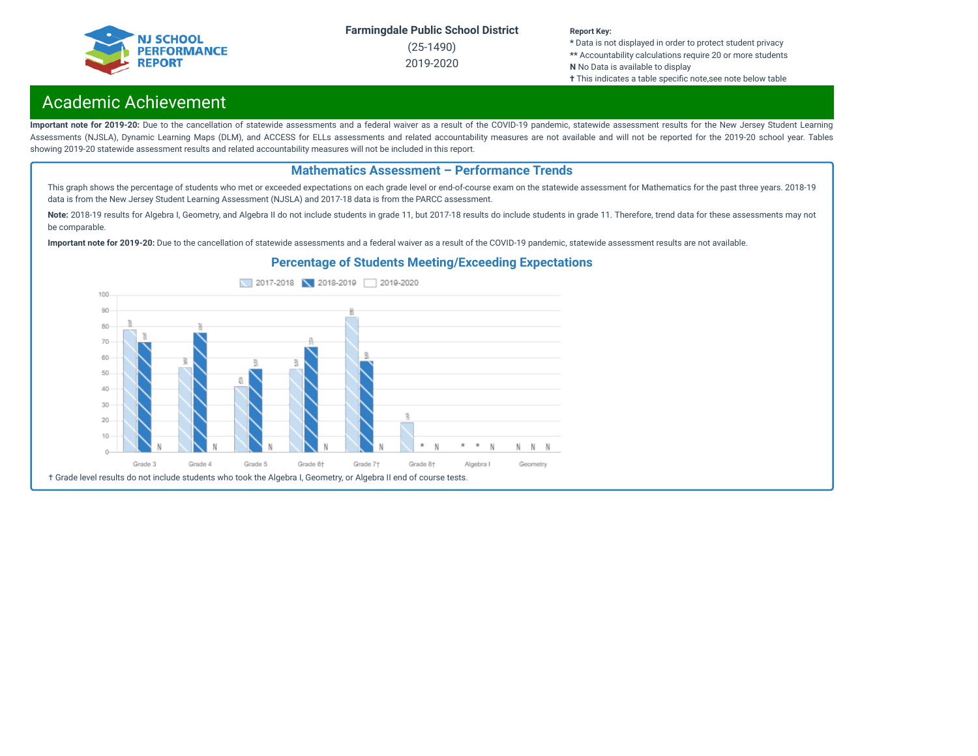

(25-1490) 2019-2020

#### **Report Key:**

**\*** Data is not displayed in order to protect student privacy **\*\*** Accountability calculations require 20 or more students **N** No Data is available to display **†** This indicates a table specific note,see note below table

## Academic Achievement

Important note for 2019-20: Due to the cancellation of statewide assessments and a federal waiver as a result of the COVID-19 pandemic, statewide assessment results for the New Jersey Student Learning Assessments (NJSLA), Dynamic Learning Maps (DLM), and ACCESS for ELLs assessments and related accountability measures are not available and will not be reported for the 2019-20 school year. Tables showing 2019-20 statewide assessment results and related accountability measures will not be included in this report.

### **Mathematics Assessment – Performance Trends**

This graph shows the percentage of students who met or exceeded expectations on each grade level or end-of-course exam on the statewide assessment for Mathematics for the past three years. 2018-19 data is from the New Jersey Student Learning Assessment (NJSLA) and 2017-18 data is from the PARCC assessment.

Note: 2018-19 results for Algebra I, Geometry, and Algebra II do not include students in grade 11, but 2017-18 results do include students in grade 11. Therefore, trend data for these assessments may not be comparable.

**Important note for 2019-20:** Due to the cancellation of statewide assessments and a federal waiver as a result of the COVID-19 pandemic, statewide assessment results are not available.

## **Percentage of Students Meeting/Exceeding Expectations**

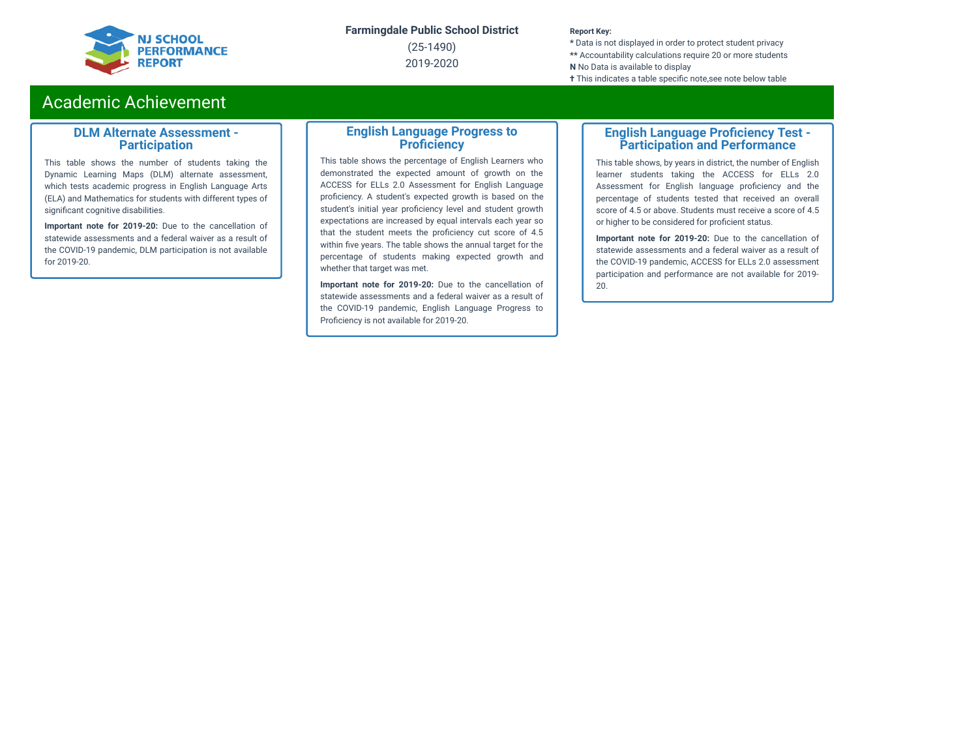

(25-1490) 2019-2020

#### **Report Key:**

**\*** Data is not displayed in order to protect student privacy **\*\*** Accountability calculations require 20 or more students **N** No Data is available to display **†** This indicates a table specific note, see note below table

## Academic Achievement

### **DLM Alternate Assessment - Participation**

This table shows the number of students taking the Dynamic Learning Maps (DLM) alternate assessment, which tests academic progress in English Language Arts (ELA) and Mathematics for students with different types of significant cognitive disabilities.

**Important note for 2019-20:** Due to the cancellation of statewide assessments and a federal waiver as a result of the COVID-19 pandemic, DLM participation is not available for 2019-20.

### **English Language Progress to Proficiency**

This table shows the percentage of English Learners who demonstrated the expected amount of growth on the ACCESS for ELLs 2.0 Assessment for English Language proficiency. A student's expected growth is based on the student's initial year proficiency level and student growth expectations are increased by equal intervals each year so that the student meets the proficiency cut score of 4.5 within five years. The table shows the annual target for the percentage of students making expected growth and whether that target was met.

**Important note for 2019-20:** Due to the cancellation of statewide assessments and a federal waiver as a result of the COVID-19 pandemic, English Language Progress to Proficiency is not available for 2019-20.

### **English Language Proficiency Test -Participation and Performance**

This table shows, by years in district, the number of English learner students taking the ACCESS for ELLs 2.0 Assessment for English language proficiency and the percentage of students tested that received an overall score of 4.5 or above. Students must receive a score of 4.5 or higher to be considered for proficient status.

**Important note for 2019-20:** Due to the cancellation of statewide assessments and a federal waiver as a result of the COVID-19 pandemic, ACCESS for ELLs 2.0 assessment participation and performance are not available for 2019- 20.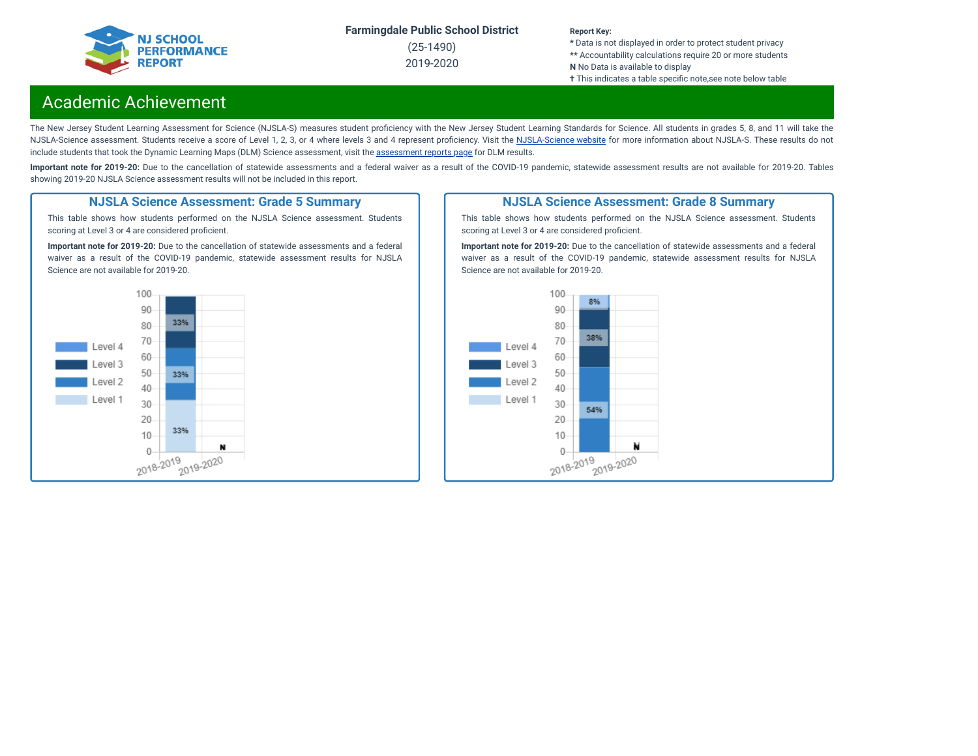

(25-1490) 2019-2020

#### **Report Key:**

**\*** Data is not displayed in order to protect student privacy **\*\*** Accountability calculations require 20 or more students **N** No Data is available to display **†** This indicates a table specific note, see note below table

## Academic Achievement

The New Jersey Student Learning Assessment for Science (NJSLA-S) measures student proficiency with the New Jersey Student Learning Standards for Science. All students in grades 5, 8, and 11 will take the [NJSLA-Science](https://www.nj.gov/education/assessment/sla/science/) assessment. Students receive a score of Level 1, 2, 3, or 4 where levels 3 and 4 represent proficiency. Visit the NJSLA-Science website for more information about NJSLA-S. These results do not include students that took the Dynamic Learning Maps (DLM) Science [assessment](https://www.nj.gov/education/schools/achievement/), visit the assessment reports page for DLM results.

Important note for 2019-20: Due to the cancellation of statewide assessments and a federal waiver as a result of the COVID-19 pandemic, statewide assessment results are not available for 2019-20. Tables showing 2019-20 NJSLA Science assessment results will not be included in this report.

### **NJSLA Science Assessment: Grade 5 Summary**

This table shows how students performed on the NJSLA Science assessment. Students scoring at Level 3 or 4 are considered proficient.

**Important note for 2019-20:** Due to the cancellation of statewide assessments and a federal waiver as a result of the COVID-19 pandemic, statewide assessment results for NJSLA Science are not available for 2019-20.



### **NJSLA Science Assessment: Grade 8 Summary**

This table shows how students performed on the NJSLA Science assessment. Students scoring at Level 3 or 4 are considered proficient.

**Important note for 2019-20:** Due to the cancellation of statewide assessments and a federal waiver as a result of the COVID-19 pandemic, statewide assessment results for NJSLA Science are not available for 2019-20.

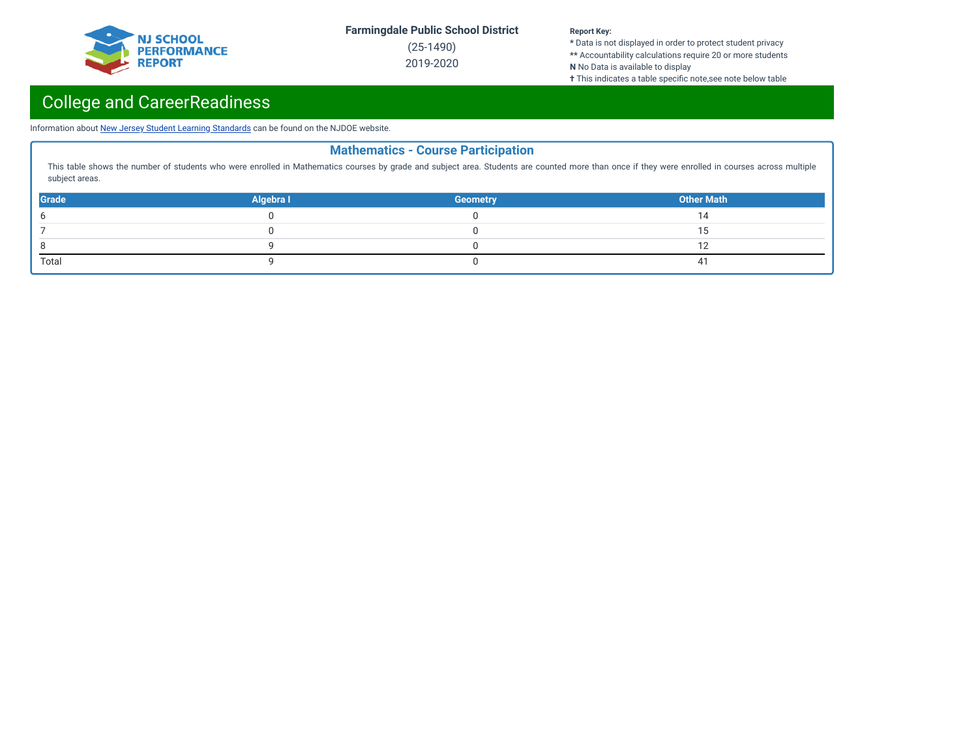

(25-1490) 2019-2020

#### **Report Key:**

**\*** Data is not displayed in order to protect student privacy **\*\*** Accountability calculations require 20 or more students **N** No Data is available to display

**†** This indicates a table specific note,see note below table

# College and CareerReadiness

Information about New Jersey Student Learning [Standards](https://www.nj.gov/education/cccs/) can be found on the NJDOE website.

|                |           | <b>Mathematics - Course Participation</b> |                                                                                                                                                                                                  |
|----------------|-----------|-------------------------------------------|--------------------------------------------------------------------------------------------------------------------------------------------------------------------------------------------------|
| subject areas. |           |                                           | This table shows the number of students who were enrolled in Mathematics courses by grade and subject area. Students are counted more than once if they were enrolled in courses across multiple |
| <b>Grade</b>   | Algebra I | <b>Geometry</b>                           | <b>Other Math</b>                                                                                                                                                                                |
|                |           |                                           |                                                                                                                                                                                                  |
|                |           |                                           |                                                                                                                                                                                                  |
|                |           |                                           |                                                                                                                                                                                                  |
| Total          |           |                                           | 41                                                                                                                                                                                               |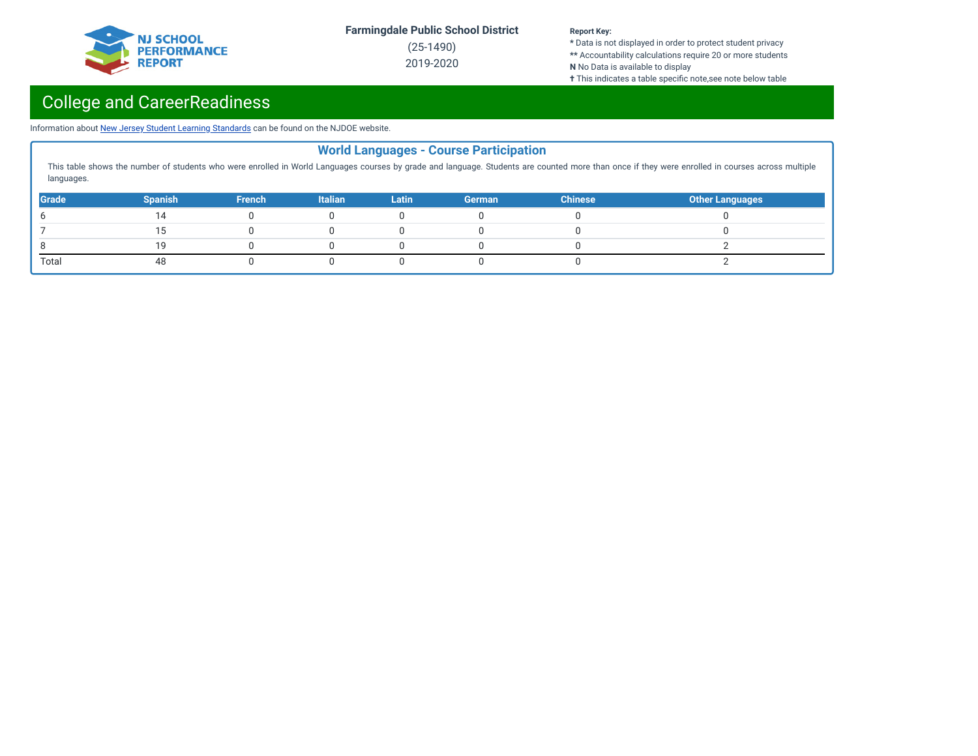

(25-1490) 2019-2020

#### **Report Key:**

**\*** Data is not displayed in order to protect student privacy **\*\*** Accountability calculations require 20 or more students **N** No Data is available to display

**†** This indicates a table specific note,see note below table

# College and CareerReadiness

Information about New Jersey Student Learning [Standards](https://www.nj.gov/education/cccs/) can be found on the NJDOE website.

|              |                |               |                |              | <b>World Languages - Course Participation</b> |                |                                                                                                                                                                                                  |
|--------------|----------------|---------------|----------------|--------------|-----------------------------------------------|----------------|--------------------------------------------------------------------------------------------------------------------------------------------------------------------------------------------------|
| languages.   |                |               |                |              |                                               |                | This table shows the number of students who were enrolled in World Languages courses by grade and language. Students are counted more than once if they were enrolled in courses across multiple |
| <b>Grade</b> | <b>Spanish</b> | <b>French</b> | <b>Italian</b> | <b>Latin</b> | German                                        | <b>Chinese</b> | <b>Other Languages</b>                                                                                                                                                                           |
|              |                |               |                |              |                                               |                |                                                                                                                                                                                                  |
|              |                |               |                |              |                                               |                |                                                                                                                                                                                                  |
|              | 19             |               |                |              |                                               |                |                                                                                                                                                                                                  |
| Total        |                |               |                |              |                                               |                |                                                                                                                                                                                                  |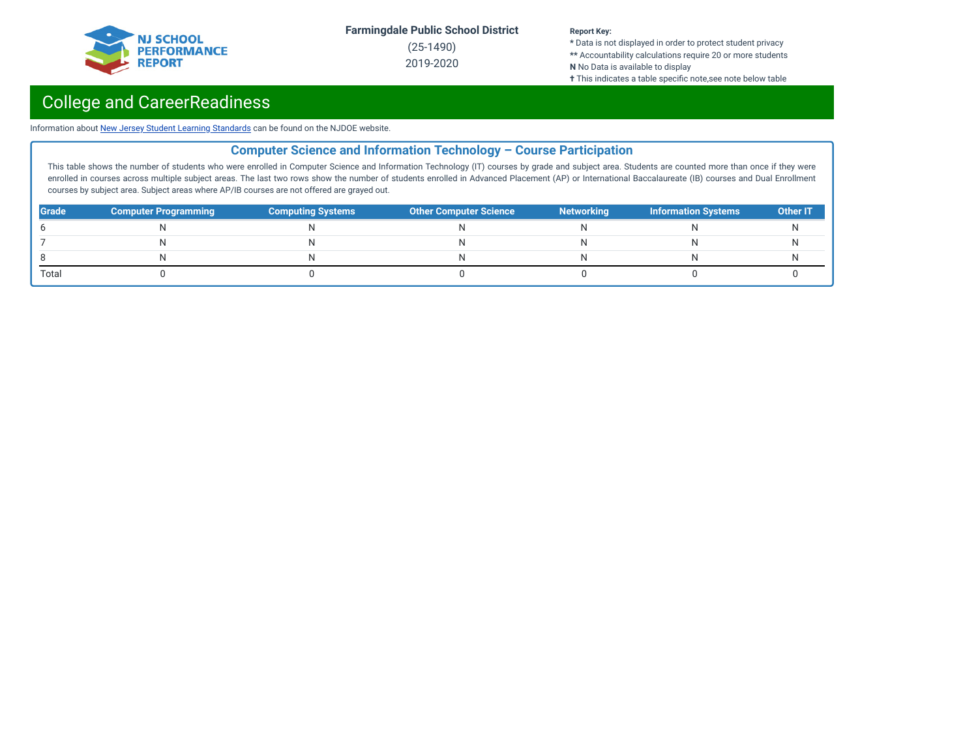

(25-1490) 2019-2020

#### **Report Key:**

**\*** Data is not displayed in order to protect student privacy **\*\*** Accountability calculations require 20 or more students **N** No Data is available to display **†** This indicates a table specific note,see note below table

## College and CareerReadiness

Information about New Jersey Student Learning [Standards](https://www.nj.gov/education/cccs/) can be found on the NJDOE website.

## **Computer Science and Information Technology – Course Participation**

This table shows the number of students who were enrolled in Computer Science and Information Technology (IT) courses by grade and subject area. Students are counted more than once if they were enrolled in courses across multiple subject areas. The last two rows show the number of students enrolled in Advanced Placement (AP) or International Baccalaureate (IB) courses and Dual Enrollment courses by subject area. Subject areas where AP/IB courses are not offered are grayed out.

| <b>Grade</b> | <b>Computer Programming</b> | <b>Computing Systems</b> | <b>Other Computer Science</b> | <b>Networking</b> | Information Systems | <b>Other IT</b> |
|--------------|-----------------------------|--------------------------|-------------------------------|-------------------|---------------------|-----------------|
|              |                             |                          |                               |                   |                     |                 |
|              |                             |                          |                               |                   |                     |                 |
|              |                             |                          |                               |                   |                     |                 |
| Total        |                             |                          |                               |                   |                     |                 |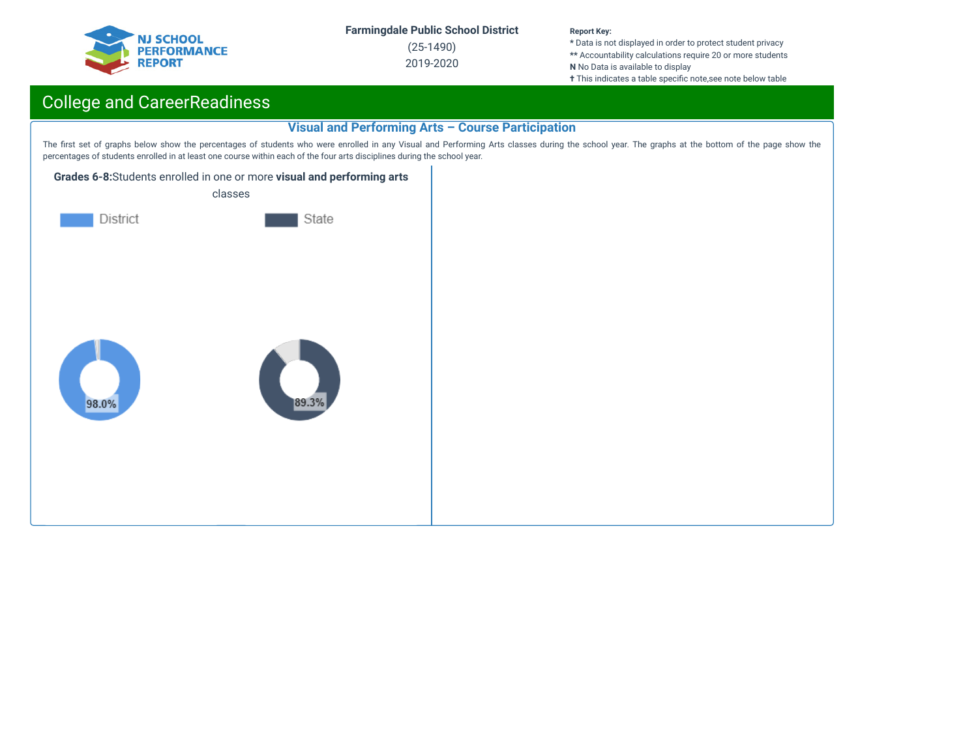

(25-1490) 2019-2020

#### **Report Key:**

**\*** Data is not displayed in order to protect student privacy **\*\*** Accountability calculations require 20 or more students **N** No Data is available to display **†** This indicates a table specific note,see note below table

## College and CareerReadiness

## **Visual and Performing Arts – Course Participation**

The first set of graphs below show the percentages of students who were enrolled in any Visual and Performing Arts classes during the school year. The graphs at the bottom of the page show the percentages of students enrolled in at least one course within each of the four arts disciplines during the school year.



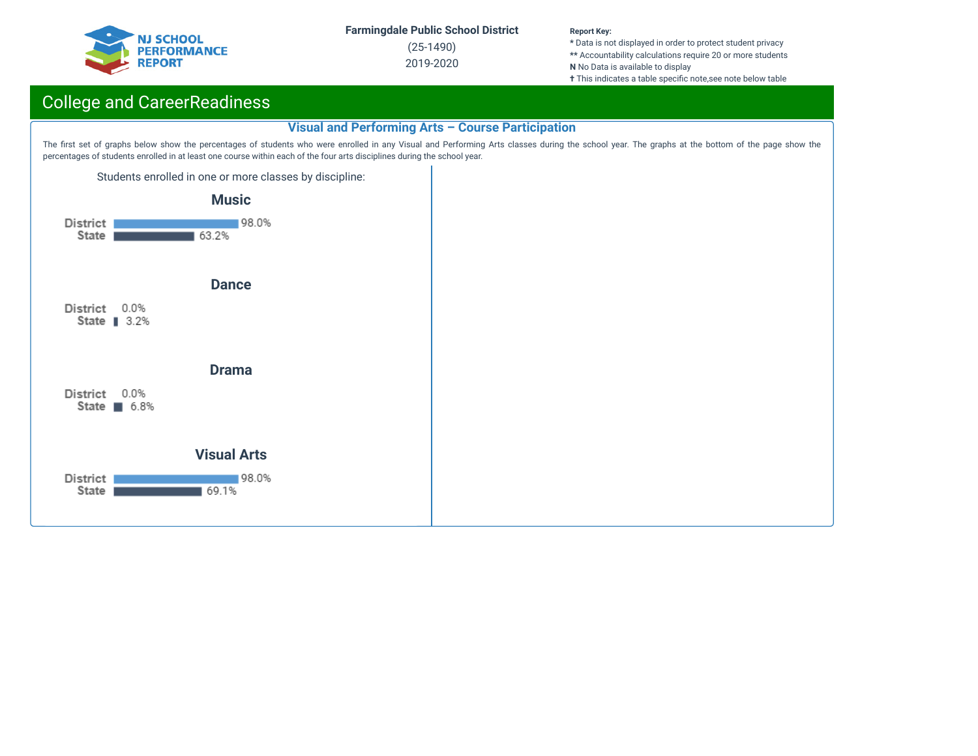

(25-1490) 2019-2020

#### **Report Key:**

**\*** Data is not displayed in order to protect student privacy **\*\*** Accountability calculations require 20 or more students **N** No Data is available to display **†** This indicates a table specific note,see note below table

## College and CareerReadiness

### **Visual and Performing Arts – Course Participation**

The first set of graphs below show the percentages of students who were enrolled in any Visual and Performing Arts classes during the school year. The graphs at the bottom of the page show the percentages of students enrolled in at least one course within each of the four arts disciplines during the school year.

Students enrolled in one or more classes by discipline:

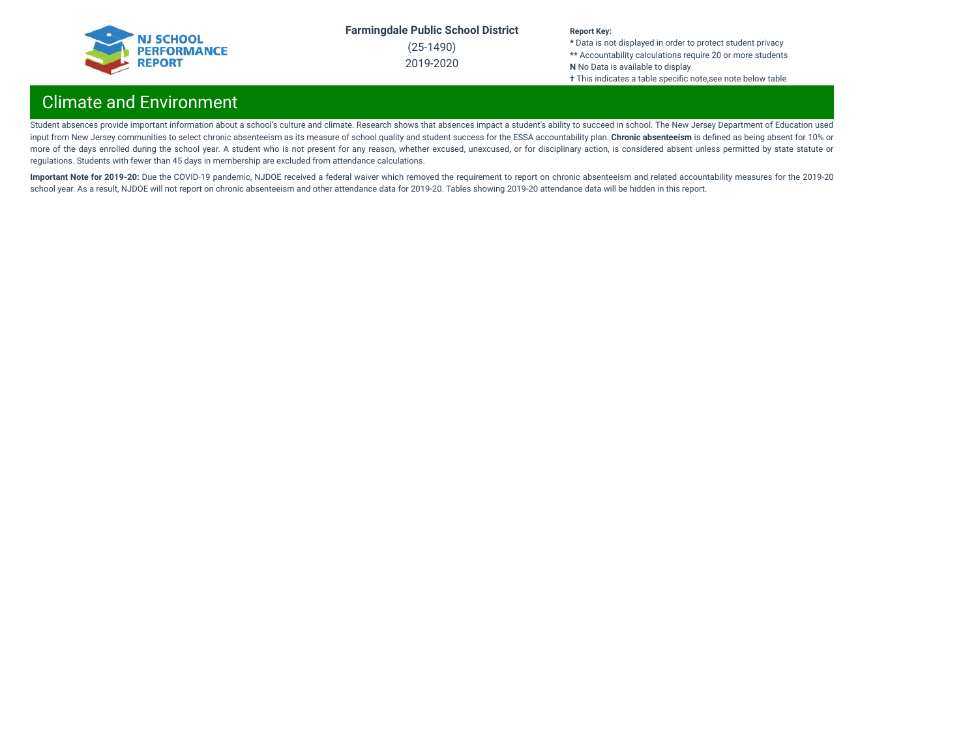

(25-1490) 2019-2020

#### **Report Key:**

**\*** Data is not displayed in order to protect student privacy **\*\*** Accountability calculations require 20 or more students **N** No Data is available to display **†** This indicates a table specific note,see note below table

## Climate and Environment

Student absences provide important information about a school's culture and climate. Research shows that absences impact a student's ability to succeed in school. The New Jersey Department of Education used input from New Jersey communities to select chronic absenteeism as its measure of school quality and student success for the ESSA accountability plan. **Chronic absenteeism** is dened as being absent for 10% or more of the days enrolled during the school year. A student who is not present for any reason, whether excused, unexcused, or for disciplinary action, is considered absent unless permitted by state statute or regulations. Students with fewer than 45 days in membership are excluded from attendance calculations.

Important Note for 2019-20: Due the COVID-19 pandemic, NJDOE received a federal waiver which removed the requirement to report on chronic absenteeism and related accountability measures for the 2019-20 school year. As a result, NJDOE will not report on chronic absenteeism and other attendance data for 2019-20. Tables showing 2019-20 attendance data will be hidden in this report.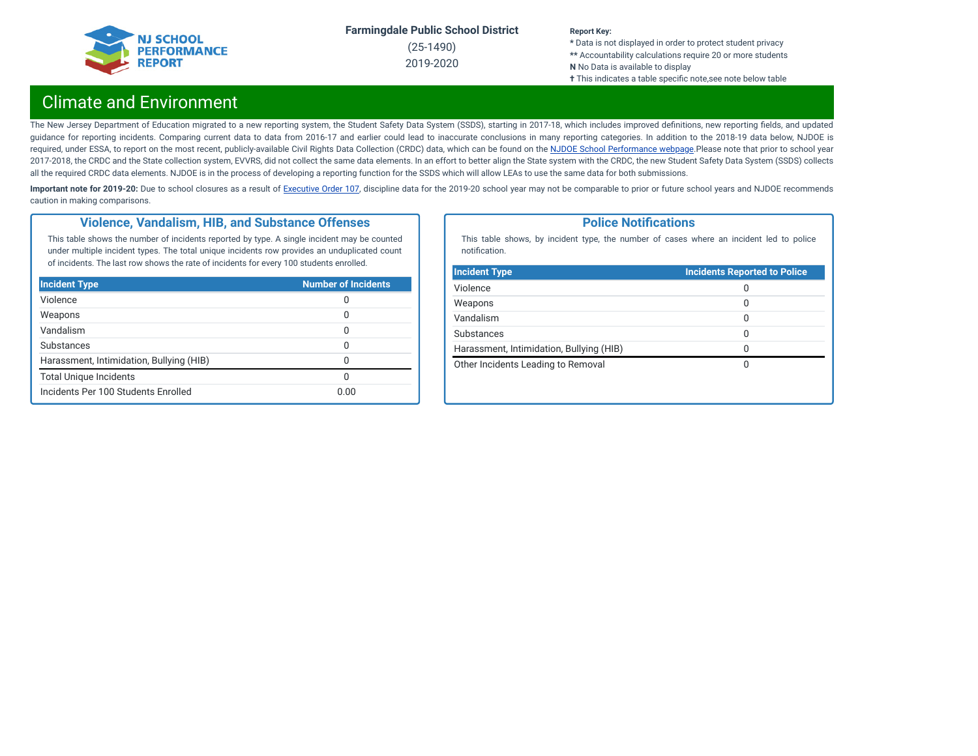

(25-1490) 2019-2020

#### **Report Key:**

**\*** Data is not displayed in order to protect student privacy **\*\*** Accountability calculations require 20 or more students **N** No Data is available to display **†** This indicates a table specific note,see note below table

## Climate and Environment

The New Jersey Department of Education migrated to a new reporting system, the Student Safety Data System (SSDS), starting in 2017-18, which includes improved definitions, new reporting fields, and updated guidance for reporting incidents. Comparing current data to data from 2016-17 and earlier could lead to inaccurate conclusions in many reporting categories. In addition to the 2018-19 data below, NJDOE is required, under ESSA, to report on the most recent, publicly-available Civil Rights Data Collection (CRDC) data, which can be found on the NJDOE School [Performance](https://www.nj.gov/education/schoolperformance/climate/) webpage.Please note that prior to school year 2017-2018, the CRDC and the State collection system, EVVRS, did not collect the same data elements. In an effort to better align the State system with the CRDC, the new Student Safety Data System (SSDS) collects all the required CRDC data elements. NJDOE is in the process of developing a reporting function for the SSDS which will allow LEAs to use the same data for both submissions.

Important note for 2019-20: Due to school closures as a result of [Executive](https://nj.gov/infobank/eo/056murphy/pdf/EO-107.pdf) Order 107, discipline data for the 2019-20 school year may not be comparable to prior or future school years and NJDOE recommends caution in making comparisons.

### **Violence, Vandalism, HIB, and Substance Offenses**

This table shows the number of incidents reported by type. A single incident may be counted under multiple incident types. The total unique incidents row provides an unduplicated count of incidents. The last row shows the rate of incidents for every 100 students enrolled.

| <b>Incident Type</b>                     | <b>Number of Incidents</b> |
|------------------------------------------|----------------------------|
| Violence                                 | 0                          |
| Weapons                                  | 0                          |
| Vandalism                                | 0                          |
| Substances                               | O                          |
| Harassment, Intimidation, Bullying (HIB) | 0                          |
| <b>Total Unique Incidents</b>            | O                          |
| Incidents Per 100 Students Enrolled      | 0.00                       |

### **Police Notifications**

This table shows, by incident type, the number of cases where an incident led to police notification.

| 0<br>0       |
|--------------|
|              |
|              |
| 0            |
| 0            |
| <sup>0</sup> |
| O            |
|              |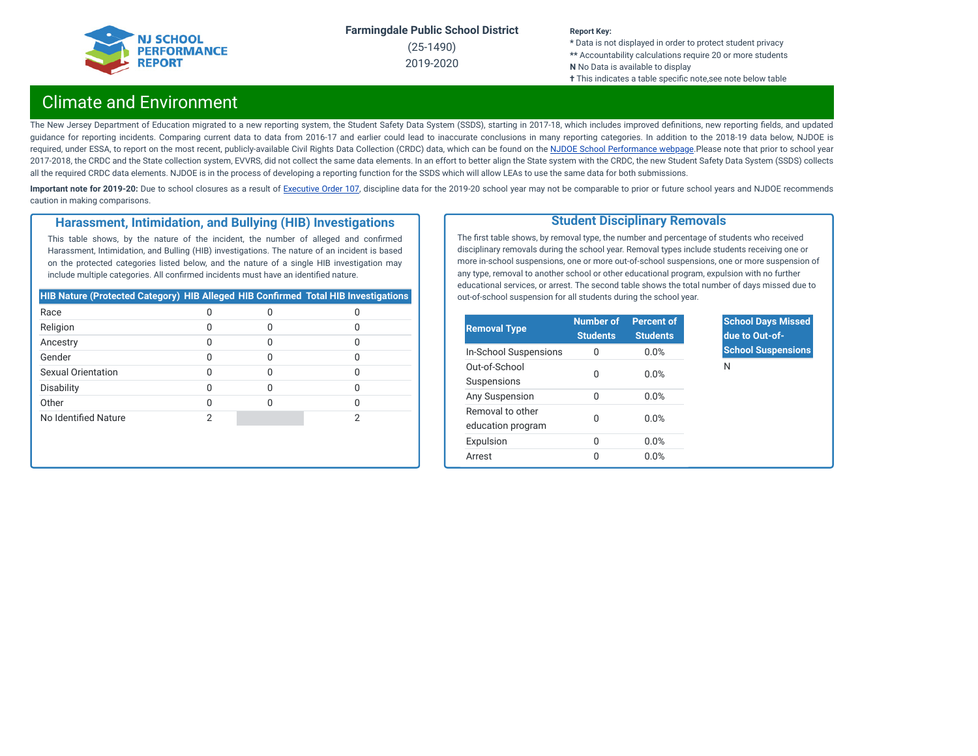

(25-1490) 2019-2020

#### **Report Key:**

**\*** Data is not displayed in order to protect student privacy **\*\*** Accountability calculations require 20 or more students **N** No Data is available to display **†** This indicates a table specific note,see note below table

## Climate and Environment

The New Jersey Department of Education migrated to a new reporting system, the Student Safety Data System (SSDS), starting in 2017-18, which includes improved definitions, new reporting fields, and updated guidance for reporting incidents. Comparing current data to data from 2016-17 and earlier could lead to inaccurate conclusions in many reporting categories. In addition to the 2018-19 data below, NJDOE is required, under ESSA, to report on the most recent, publicly-available Civil Rights Data Collection (CRDC) data, which can be found on the NJDOE School [Performance](https://www.nj.gov/education/schoolperformance/climate/) webpage.Please note that prior to school year 2017-2018, the CRDC and the State collection system, EVVRS, did not collect the same data elements. In an effort to better align the State system with the CRDC, the new Student Safety Data System (SSDS) collects all the required CRDC data elements. NJDOE is in the process of developing a reporting function for the SSDS which will allow LEAs to use the same data for both submissions.

Important note for 2019-20: Due to school closures as a result of [Executive](https://nj.gov/infobank/eo/056murphy/pdf/EO-107.pdf) Order 107, discipline data for the 2019-20 school year may not be comparable to prior or future school years and NJDOE recommends caution in making comparisons.

### **Harassment, Intimidation, and Bullying (HIB) Investigations**

This table shows, by the nature of the incident, the number of alleged and confirmed Harassment, Intimidation, and Bulling (HIB) investigations. The nature of an incident is based on the protected categories listed below, and the nature of a single HIB investigation may include multiple categories. All confirmed incidents must have an identified nature.

| <b>HIB Nature (Protected Category) HIB Alleged HIB Confirmed Total HIB Investigations</b> |  |  |
|-------------------------------------------------------------------------------------------|--|--|
| Race                                                                                      |  |  |
| Religion                                                                                  |  |  |
| Ancestry                                                                                  |  |  |
| Gender                                                                                    |  |  |
| Sexual Orientation                                                                        |  |  |
| Disability                                                                                |  |  |
| Other                                                                                     |  |  |
| No Identified Nature                                                                      |  |  |

### **Student Disciplinary Removals**

The first table shows, by removal type, the number and percentage of students who received disciplinary removals during the school year. Removal types include students receiving one or more in-school suspensions, one or more out-of-school suspensions, one or more suspension of any type, removal to another school or other educational program, expulsion with no further educational services, or arrest. The second table shows the total number of days missed due to out-of-school suspension for all students during the school year.

| <b>Removal Type</b>                   | <b>Number of</b><br><b>Students</b> | Percent of<br><b>Students</b> |
|---------------------------------------|-------------------------------------|-------------------------------|
| In-School Suspensions                 | 0                                   | 0.0%                          |
| Out-of-School<br>Suspensions          | O                                   | 0.0%                          |
| Any Suspension                        | O                                   | 0.0%                          |
| Removal to other<br>education program | O                                   | 0.0%                          |
| Expulsion                             | 0                                   | 0.0%                          |
| Arrest                                | O                                   | 0.0%                          |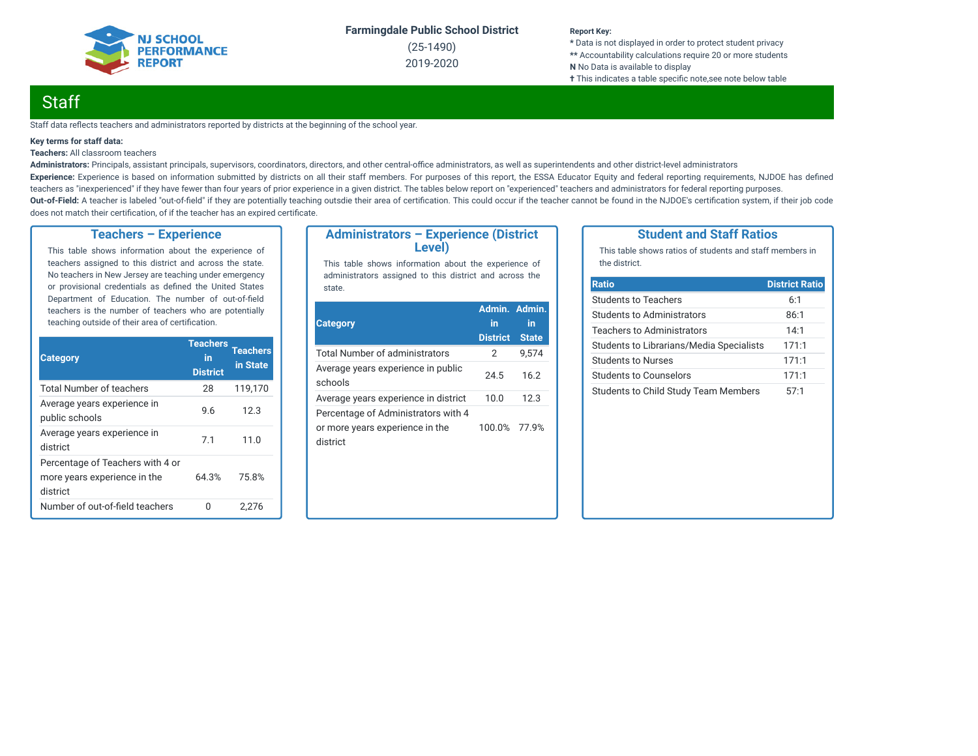

(25-1490) 2019-2020

#### **Report Key:**

**\*** Data is not displayed in order to protect student privacy **\*\*** Accountability calculations require 20 or more students **N** No Data is available to display **†** This indicates a table specific note, see note below table

## **Staff**

Staff data reflects teachers and administrators reported by districts at the beginning of the school year.

#### **Key terms for staff data:**

#### **Teachers:** All classroom teachers

Administrators: Principals, assistant principals, supervisors, coordinators, directors, and other central-office administrators, as well as superintendents and other district-level administrators Experience: Experience is based on information submitted by districts on all their staff members. For purposes of this report, the ESSA Educator Equity and federal reporting requirements, NJDOE has defined teachers as "inexperienced" if they have fewer than four years of prior experience in a given district. The tables below report on "experienced" teachers and administrators for federal reporting purposes. Out-of-Field: A teacher is labeled "out-of-field" if they are potentially teaching outsdie their area of certification. This could occur if the teacher cannot be found in the NJDOE's certification system, if their job code does not match their certification, of if the teacher has an expired certificate.

### **Teachers – Experience**

This table shows information about the experience of teachers assigned to this district and across the state. No teachers in New Jersey are teaching under emergency or provisional credentials as defined the United States Department of Education. The number of out-of-field teachers is the number of teachers who are potentially teaching outside of their area of certification.

| <b>Category</b>                                                              | <b>Teachers</b><br>in<br><b>District</b> | <b>Teachers</b><br>in State |
|------------------------------------------------------------------------------|------------------------------------------|-----------------------------|
| <b>Total Number of teachers</b>                                              | 28                                       | 119,170                     |
| Average years experience in<br>public schools                                | 9.6                                      | 12.3                        |
| Average years experience in<br>district                                      | 7.1                                      | 11.0                        |
| Percentage of Teachers with 4 or<br>more years experience in the<br>district | 64.3%                                    | 75.8%                       |
| Number of out-of-field teachers                                              | U                                        | 2,276                       |

### **Administrators – Experience (District Level)**

This table shows information about the experience of administrators assigned to this district and across the state.

| <b>Category</b>                                                                    | Admin. Admin.<br>in<br><b>District</b> | in<br><b>State</b> |
|------------------------------------------------------------------------------------|----------------------------------------|--------------------|
| Total Number of administrators                                                     | 2                                      | 9,574              |
| Average years experience in public<br>schools                                      | 24.5                                   | 16.2               |
| Average years experience in district                                               | 10.0                                   | 12.3               |
| Percentage of Administrators with 4<br>or more years experience in the<br>district | 100.0% 77.9%                           |                    |

### **Student and Staff Ratios**

This table shows ratios of students and staff members in the district.

| <b>Ratio</b>                                | <b>District Ratio</b> |
|---------------------------------------------|-----------------------|
| <b>Students to Teachers</b>                 | 6:1                   |
| Students to Administrators                  | 86:1                  |
| Teachers to Administrators                  | 14:1                  |
| Students to Librarians/Media Specialists    | 171:1                 |
| Students to Nurses                          | 171:1                 |
| Students to Counselors                      | 171:1                 |
| <b>Students to Child Study Team Members</b> | 57:1                  |
|                                             |                       |
|                                             |                       |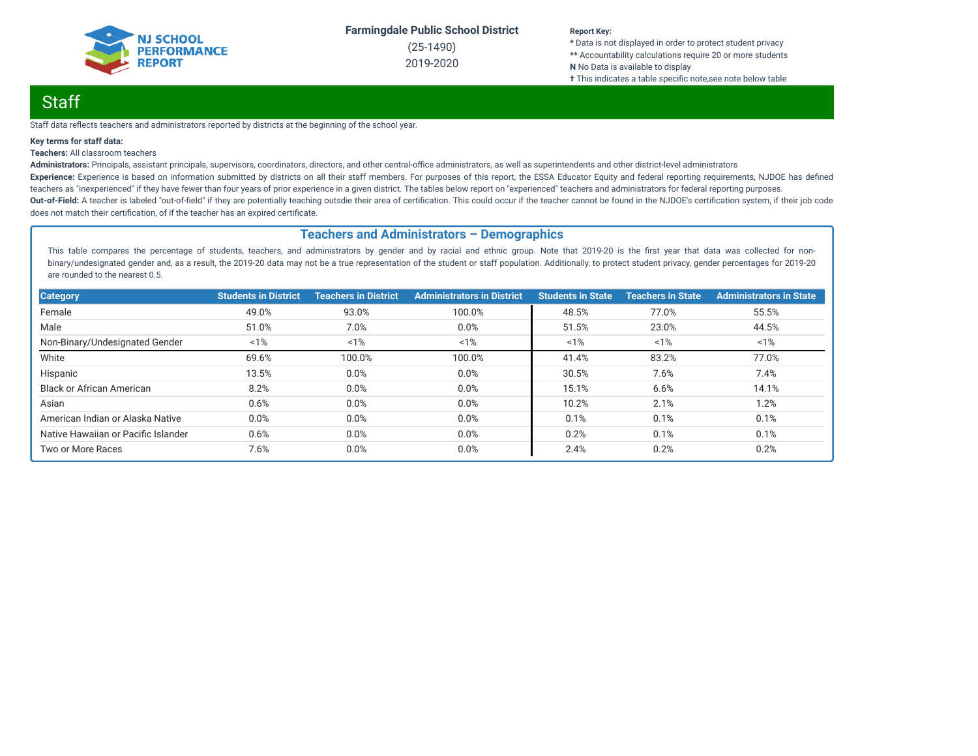

(25-1490) 2019-2020

#### **Report Key:**

**\*** Data is not displayed in order to protect student privacy **\*\*** Accountability calculations require 20 or more students **N** No Data is available to display **†** This indicates a table specific note, see note below table

## Staff

Staff data reflects teachers and administrators reported by districts at the beginning of the school year.

#### **Key terms for staff data:**

#### **Teachers:** All classroom teachers

Administrators: Principals, assistant principals, supervisors, coordinators, directors, and other central-office administrators, as well as superintendents and other district-level administrators Experience: Experience is based on information submitted by districts on all their staff members. For purposes of this report, the ESSA Educator Equity and federal reporting requirements, NJDOE has defined teachers as "inexperienced" if they have fewer than four years of prior experience in a given district. The tables below report on "experienced" teachers and administrators for federal reporting purposes. Out-of-Field: A teacher is labeled "out-of-field" if they are potentially teaching outsdie their area of certification. This could occur if the teacher cannot be found in the NJDOE's certification system, if their job code does not match their certification, of if the teacher has an expired certificate.

### **Teachers and Administrators – Demographics**

This table compares the percentage of students, teachers, and administrators by gender and by racial and ethnic group. Note that 2019-20 is the first year that data was collected for nonbinary/undesignated gender and, as a result, the 2019-20 data may not be a true representation of the student or staff population. Additionally, to protect student privacy, gender percentages for 2019-20 are rounded to the nearest 0.5.

| <b>Category</b>                     | <b>Students in District</b> | <b>Teachers in District</b> | <b>Administrators in District</b> | <b>Students in State</b> | <b>Teachers in State</b> | <b>Administrators in State</b> |
|-------------------------------------|-----------------------------|-----------------------------|-----------------------------------|--------------------------|--------------------------|--------------------------------|
| Female                              | 49.0%                       | 93.0%                       | 100.0%                            | 48.5%                    | 77.0%                    | 55.5%                          |
| Male                                | 51.0%                       | 7.0%                        | 0.0%                              | 51.5%                    | 23.0%                    | 44.5%                          |
| Non-Binary/Undesignated Gender      | 1%                          | 1%                          | 1%                                | 1%                       | 1%                       | 1%                             |
| White                               | 69.6%                       | 100.0%                      | 100.0%                            | 41.4%                    | 83.2%                    | 77.0%                          |
| Hispanic                            | 13.5%                       | 0.0%                        | 0.0%                              | 30.5%                    | 7.6%                     | 7.4%                           |
| <b>Black or African American</b>    | 8.2%                        | 0.0%                        | 0.0%                              | 15.1%                    | 6.6%                     | 14.1%                          |
| Asian                               | 0.6%                        | 0.0%                        | 0.0%                              | 10.2%                    | 2.1%                     | 1.2%                           |
| American Indian or Alaska Native    | 0.0%                        | 0.0%                        | 0.0%                              | 0.1%                     | 0.1%                     | 0.1%                           |
| Native Hawaiian or Pacific Islander | 0.6%                        | 0.0%                        | 0.0%                              | 0.2%                     | 0.1%                     | 0.1%                           |
| Two or More Races                   | 7.6%                        | 0.0%                        | 0.0%                              | 2.4%                     | 0.2%                     | 0.2%                           |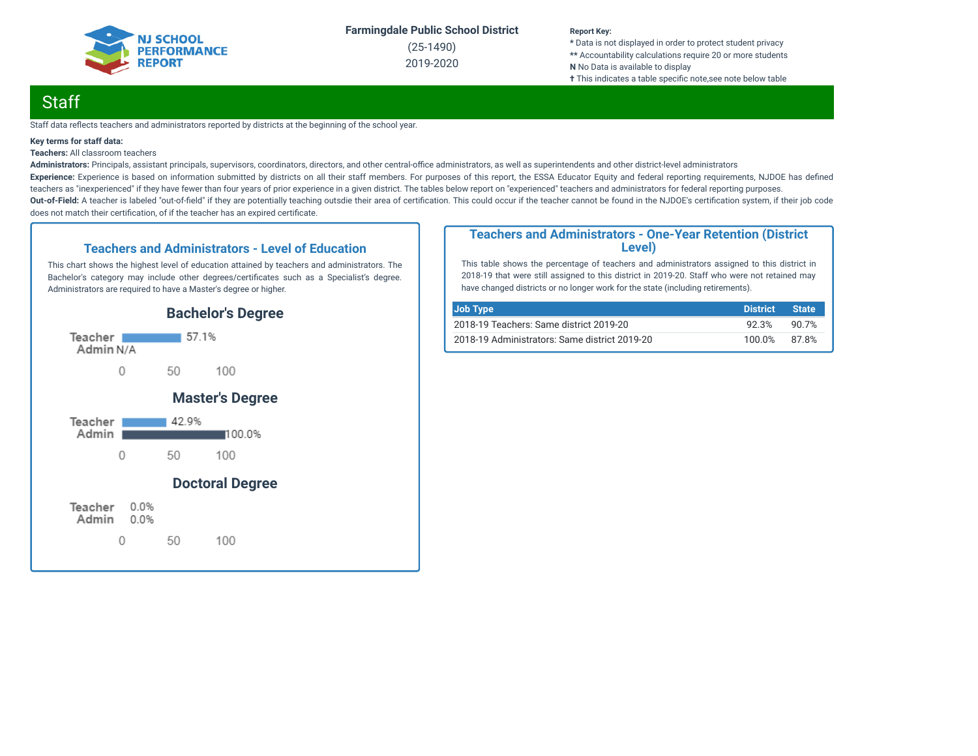

(25-1490) 2019-2020

#### **Report Key:**

**\*** Data is not displayed in order to protect student privacy **\*\*** Accountability calculations require 20 or more students **N** No Data is available to display **†** This indicates a table specific note, see note below table

## **Staff**

Staff data reflects teachers and administrators reported by districts at the beginning of the school year.

#### **Key terms for staff data:**

**Teachers:** All classroom teachers

Administrators: Principals, assistant principals, supervisors, coordinators, directors, and other central-office administrators, as well as superintendents and other district-level administrators Experience: Experience is based on information submitted by districts on all their staff members. For purposes of this report, the ESSA Educator Equity and federal reporting requirements, NJDOE has defined teachers as "inexperienced" if they have fewer than four years of prior experience in a given district. The tables below report on "experienced" teachers and administrators for federal reporting purposes. Out-of-Field: A teacher is labeled "out-of-field" if they are potentially teaching outsdie their area of certification. This could occur if the teacher cannot be found in the NJDOE's certification system, if their job code does not match their certification, of if the teacher has an expired certificate.

### **Teachers and Administrators - Level of Education**

This chart shows the highest level of education attained by teachers and administrators. The Bachelor's category may include other degrees/certificates such as a Specialist's degree. Administrators are required to have a Master's degree or higher.



### **Teachers and Administrators - One-Year Retention (District Level)**

This table shows the percentage of teachers and administrators assigned to this district in 2018-19 that were still assigned to this district in 2019-20. Staff who were not retained may have changed districts or no longer work for the state (including retirements).

| Job Type                                      | <b>District</b> | <b>State</b> |
|-----------------------------------------------|-----------------|--------------|
| 2018-19 Teachers: Same district 2019-20       | 92.3%           | 90.7%        |
| 2018-19 Administrators: Same district 2019-20 | 100.0%          | 87.8%        |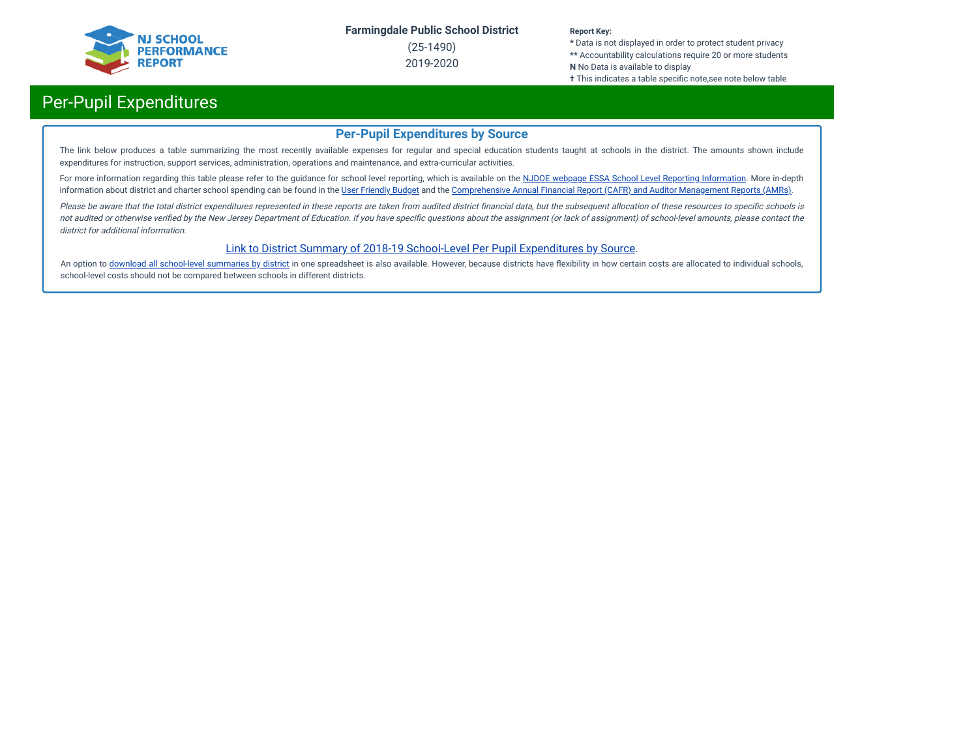

(25-1490) 2019-2020

#### **Report Key:**

**\*** Data is not displayed in order to protect student privacy **\*\*** Accountability calculations require 20 or more students **N** No Data is available to display

**†** This indicates a table specific note,see note below table

## Per-Pupil Expenditures

### **Per-Pupil Expenditures by Source**

The link below produces a table summarizing the most recently available expenses for regular and special education students taught at schools in the district. The amounts shown include expenditures for instruction, support services, administration, operations and maintenance, and extra-curricular activities.

For more information regarding this table please refer to the guidance for school level reporting, which is available on the NJDOE webpage ESSA School Level Reporting [Information](https://www.nj.gov/education/finance/fp/af/essa.shtml). More in-depth information about district and charter school spending can be found in the User [Friendly](https://www.nj.gov/education/finance/fp/ufb/) Budget and the [Comprehensive](https://www.nj.gov/education/finance/fp/cafr/search/) Annual Financial Report (CAFR) and Auditor Management Reports (AMRs).

Please be aware that the total district expenditures represented in these reports are taken from audited district financial data, but the subsequent allocation of these resources to specific schools is not audited or otherwise verified by the New Jersey Department of Education. If you have specific questions about the assignment (or lack of assignment) of school-level amounts, please contact the district for additional information.

### [Link to District Summary of 2018-19 School-Level Per Pupil Expenditures by Source](https://homeroom4.doe.state.nj.us/audsum/PpeReport?&did=1490&fileformat=html&reportname=PERFORMREPORT&fy=20).

An option to download all [school-level](https://homeroom4.doe.state.nj.us/audsum/PpeReport?&did=9999&fileformat=html&reportname=PERFORMREPORT&fy=20) summaries by district in one spreadsheet is also available. However, because districts have flexibility in how certain costs are allocated to individual schools, school-level costs should not be compared between schools in different districts.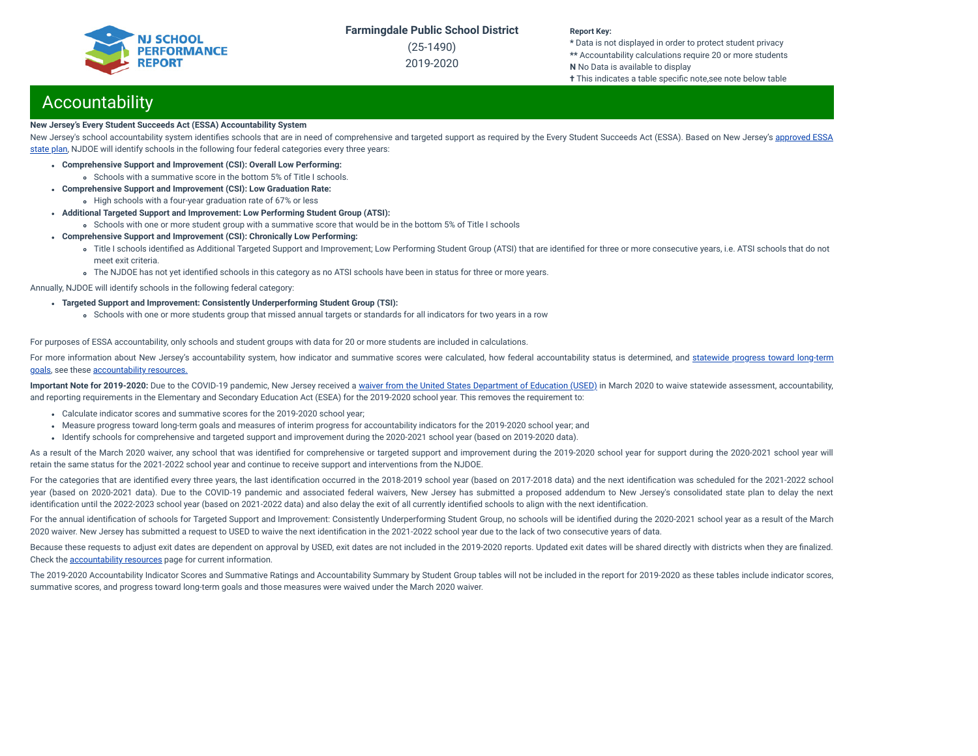(25-1490) 2019-2020

#### **Report Key:**

**\*** Data is not displayed in order to protect student privacy **\*\*** Accountability calculations require 20 or more students **N** No Data is available to display **†** This indicates a table specific note,see note below table

## **Accountability**

#### **New Jersey's Every Student Succeeds Act (ESSA) Accountability System**

New Jersey's school accountability system identifies schools that are in need of [comprehensive](https://www.nj.gov/education/ESSA/plan/plan.pdf) and targeted support as required by the Every Student Succeeds Act (ESSA). Based on New Jersey's approved ESSA state plan, NJDOE will identify schools in the following four federal categories every three years:

- **Comprehensive Support and Improvement (CSI): Overall Low Performing:**
	- Schools with a summative score in the bottom 5% of Title I schools.
- **Comprehensive Support and Improvement (CSI): Low Graduation Rate:**
- High schools with a four-year graduation rate of 67% or less
- **Additional Targeted Support and Improvement: Low Performing Student Group (ATSI):**
	- Schools with one or more student group with a summative score that would be in the bottom 5% of Title I schools
- **Comprehensive Support and Improvement (CSI): Chronically Low Performing:**
	- o Title I schools identified as Additional Targeted Support and Improvement; Low Performing Student Group (ATSI) that are identified for three or more consecutive years, i.e. ATSI schools that do not meet exit criteria.
	- The NJDOE has not yet identified schools in this category as no ATSI schools have been in status for three or more years.

Annually, NJDOE will identify schools in the following federal category:

- **Targeted Support and Improvement: Consistently Underperforming Student Group (TSI):**
	- Schools with one or more students group that missed annual targets or standards for all indicators for two years in a row

For purposes of ESSA accountability, only schools and student groups with data for 20 or more students are included in calculations.

For more information about New Jersey's [accountability](https://www.state.nj.us/education/title1/accountability/progress/19/2018-19%20Statewide%20Progress%20toward%20Long-Term%20Goals.pdf) system, how indicator and summative scores were calculated, how federal accountability status is determined, and statewide progress toward long-term goals, see these [accountability](https://www.state.nj.us/education/title1/accountability/progress/20) resources.

Important Note for 2019-2020: Due to the COVID-19 pandemic, New Jersey received a waiver from the United States [Department](https://www.nj.gov/education/covid19/news/docs/Accountability%20and%20School%20Identification,%20and%20Reporting%20Requirement%20Waiver%20Word.pdf) of Education (USED) in March 2020 to waive statewide assessment, accountability, and reporting requirements in the Elementary and Secondary Education Act (ESEA) for the 2019-2020 school year. This removes the requirement to:

- Calculate indicator scores and summative scores for the 2019-2020 school year;
- Measure progress toward long-term goals and measures of interim progress for accountability indicators for the 2019-2020 school year; and
- Identify schools for comprehensive and targeted support and improvement during the 2020-2021 school year (based on 2019-2020 data).

As a result of the March 2020 waiver, any school that was identified for comprehensive or targeted support and improvement during the 2019-2020 school year for support during the 2020-2021 school year will retain the same status for the 2021-2022 school year and continue to receive support and interventions from the NJDOE.

For the categories that are identified every three years, the last identification occurred in the 2018-2019 school year (based on 2017-2018 data) and the next identification was scheduled for the 2021-2022 school year (based on 2020-2021 data). Due to the COVID-19 pandemic and associated federal waivers, New Jersey has submitted a proposed addendum to New Jersey's consolidated state plan to delay the next identification until the 2022-2023 school year (based on 2021-2022 data) and also delay the exit of all currently identified schools to align with the next identification.

For the annual identification of schools for Targeted Support and Improvement: Consistently Underperforming Student Group, no schools will be identified during the 2020-2021 school year as a result of the March 2020 waiver. New Jersey has submitted a request to USED to waive the next identification in the 2021-2022 school year due to the lack of two consecutive years of data.

Because these requests to adjust exit dates are dependent on approval by USED, exit dates are not included in the 2019-2020 reports. Updated exit dates will be shared directly with districts when they are finalized. Check the [accountability](https://www.state.nj.us/education/title1/accountability/progress/20) resources page for current information.

The 2019-2020 Accountability Indicator Scores and Summative Ratings and Accountability Summary by Student Group tables will not be included in the report for 2019-2020 as these tables include indicator scores, summative scores, and progress toward long-term goals and those measures were waived under the March 2020 waiver.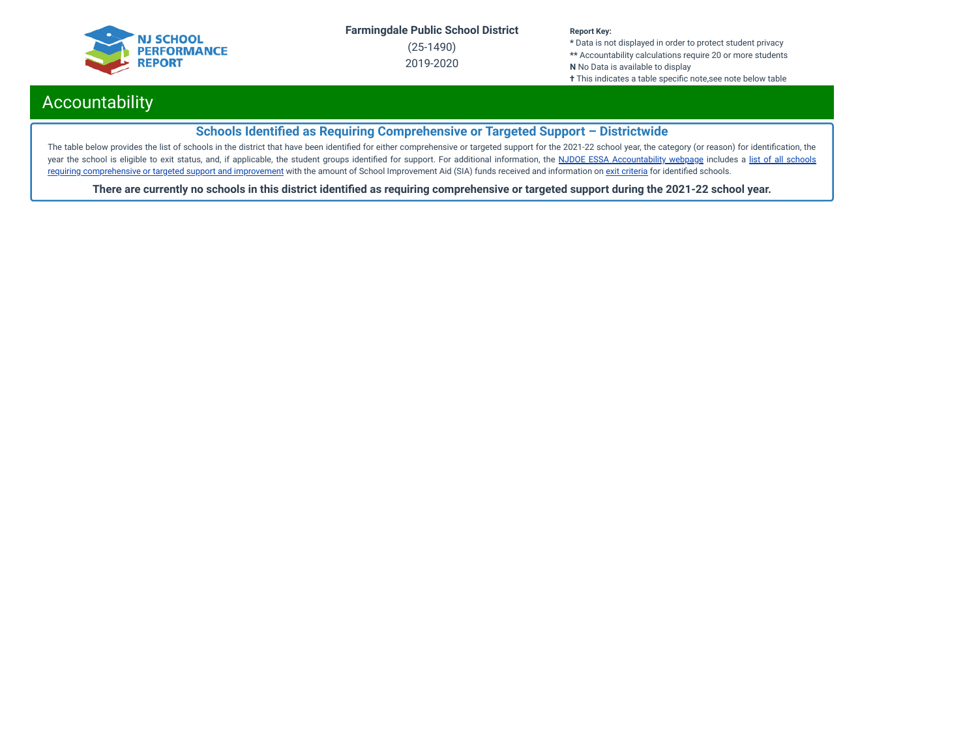

(25-1490) 2019-2020

#### **Report Key:**

**\*** Data is not displayed in order to protect student privacy **\*\*** Accountability calculations require 20 or more students **N** No Data is available to display **†** This indicates a table specific note, see note below table

## Accountability

## **Schools Identified as Requiring Comprehensive or Targeted Support - Districtwide**

The table below provides the list of schools in the district that have been identified for either comprehensive or targeted support for the 2021-22 school year, the category (or reason) for identification, the year the school is eligible to exit status, and, if applicable, the student groups identified for support. For additional information, the NJDOE ESSA [Accountability](https://www.state.nj.us/education/title1/accountability/progress/20/) webpage includes a list of all schools requiring [comprehensive](https://www.state.nj.us/education/title1/accountability/progress/19/CAP%20Comprehensive_Targeted_Schools.xlsx) or targeted support and improvement with the amount of School Improvement Aid (SIA) funds received and information on exit [criteria](https://www.state.nj.us/education/title1/accountability/progress/20/ESSAExitCriteriaDocument.pdf) for identified schools.

There are currently no schools in this district identified as requiring comprehensive or targeted support during the 2021-22 school year.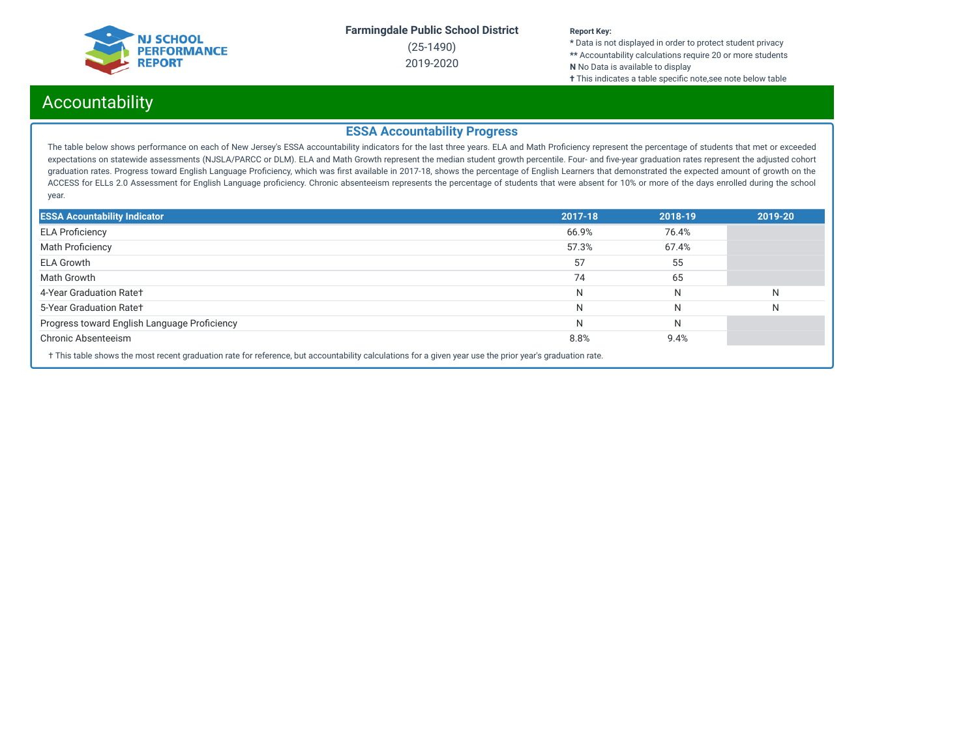

(25-1490) 2019-2020

#### **Report Key:**

**\*** Data is not displayed in order to protect student privacy **\*\*** Accountability calculations require 20 or more students **N** No Data is available to display

**†** This indicates a table specific note, see note below table

## Accountability

### **ESSA Accountability Progress**

The table below shows performance on each of New Jersey's ESSA accountability indicators for the last three years. ELA and Math Proficiency represent the percentage of students that met or exceeded expectations on statewide assessments (NJSLA/PARCC or DLM). ELA and Math Growth represent the median student growth percentile. Four- and five-year graduation rates represent the adjusted cohort graduation rates. Progress toward English Language Proficiency, which was first available in 2017-18, shows the percentage of English Learners that demonstrated the expected amount of growth on the ACCESS for ELLs 2.0 Assessment for English Language proficiency. Chronic absenteeism represents the percentage of students that were absent for 10% or more of the days enrolled during the school year.

| <b>ESSA Acountability Indicator</b>                                                                                                                                                                                                                                                                                                                                                                     | 2017-18 | 2018-19 | 2019-20 |  |  |
|---------------------------------------------------------------------------------------------------------------------------------------------------------------------------------------------------------------------------------------------------------------------------------------------------------------------------------------------------------------------------------------------------------|---------|---------|---------|--|--|
| <b>ELA Proficiency</b>                                                                                                                                                                                                                                                                                                                                                                                  | 66.9%   | 76.4%   |         |  |  |
| <b>Math Proficiency</b>                                                                                                                                                                                                                                                                                                                                                                                 | 57.3%   | 67.4%   |         |  |  |
| <b>ELA Growth</b>                                                                                                                                                                                                                                                                                                                                                                                       | 57      | 55      |         |  |  |
| Math Growth                                                                                                                                                                                                                                                                                                                                                                                             | 74      | 65      |         |  |  |
| 4-Year Graduation Rate+                                                                                                                                                                                                                                                                                                                                                                                 | N       | N       | N       |  |  |
| 5-Year Graduation Rate+                                                                                                                                                                                                                                                                                                                                                                                 | N       | N       | N       |  |  |
| Progress toward English Language Proficiency                                                                                                                                                                                                                                                                                                                                                            | N       | N       |         |  |  |
| Chronic Absenteeism                                                                                                                                                                                                                                                                                                                                                                                     | 8.8%    | 9.4%    |         |  |  |
| $\mathcal{L} = \{ \mathbf{r} \in \mathbb{R}^n : \mathbf{r} \in \mathbb{R}^n : \mathbf{r} \in \mathbb{R}^n : \mathbf{r} \in \mathbb{R}^n : \mathbf{r} \in \mathbb{R}^n : \mathbf{r} \in \mathbb{R}^n : \mathbf{r} \in \mathbb{R}^n : \mathbf{r} \in \mathbb{R}^n : \mathbf{r} \in \mathbb{R}^n : \mathbf{r} \in \mathbb{R}^n : \mathbf{r} \in \mathbb{R}^n : \mathbf{r} \in \mathbb{R}^n : \mathbf{r} \$ |         |         |         |  |  |

† This table shows the most recent graduation rate for reference, but accountability calculations for a given year use the prior year's graduation rate.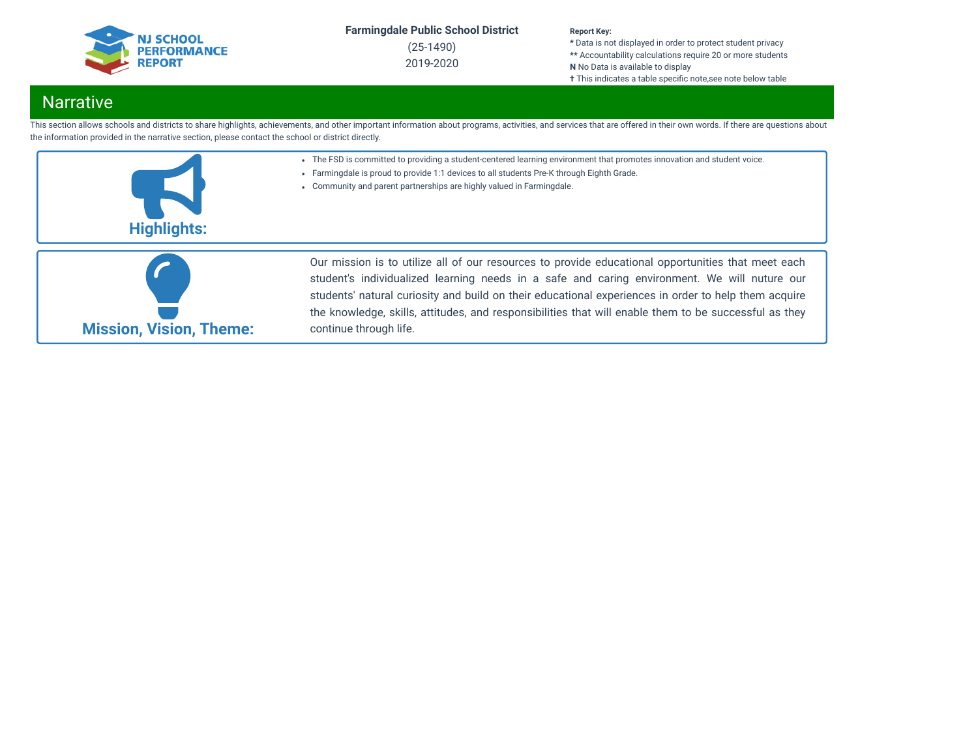

(25-1490) 2019-2020

#### **Report Key:**

**\*** Data is not displayed in order to protect student privacy **\*\*** Accountability calculations require 20 or more students **N** No Data is available to display **†** This indicates a table specific note, see note below table

## **Narrative**

This section allows schools and districts to share highlights, achievements, and other important information about programs, activities, and services that are offered in their own words. If there are questions about the information provided in the narrative section, please contact the school or district directly.

- The FSD is committed to providing a student-centered learning environment that promotes innovation and student voice.
- Farmingdale is proud to provide 1:1 devices to all students Pre-K through Eighth Grade.
- Community and parent partnerships are highly valued in Farmingdale.





Our mission is to utilize all of our resources to provide educational opportunities that meet each student's individualized learning needs in a safe and caring environment. We will nuture our students' natural curiosity and build on their educational experiences in order to help them acquire the knowledge, skills, attitudes, and responsibilities that will enable them to be successful as they continue through life.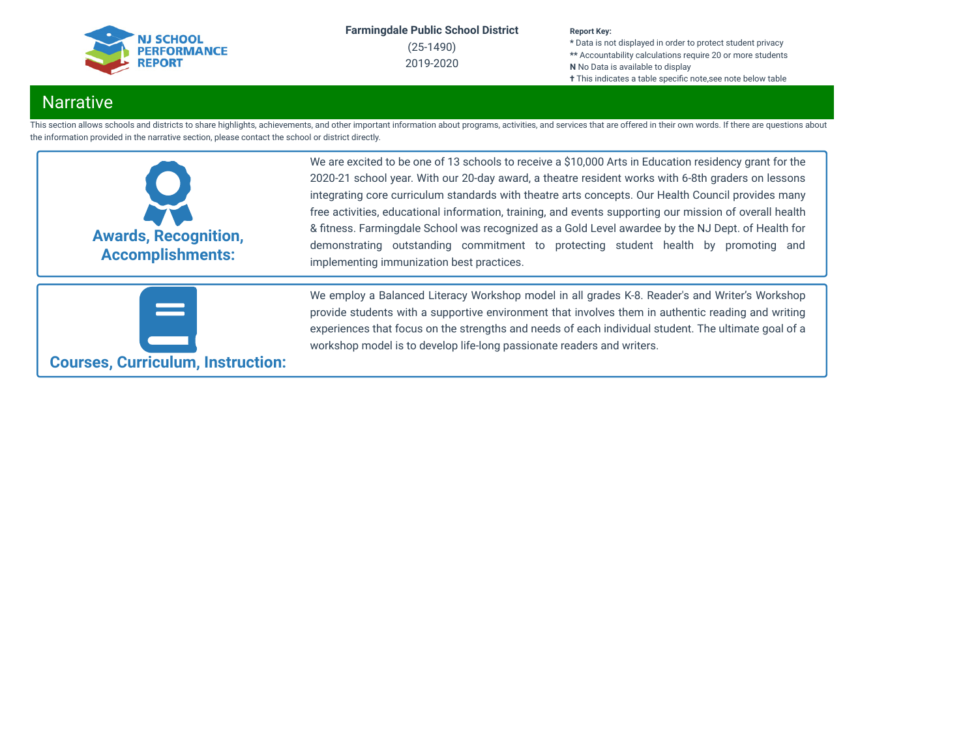

(25-1490) 2019-2020

#### **Report Key:**

**\*** Data is not displayed in order to protect student privacy **\*\*** Accountability calculations require 20 or more students **N** No Data is available to display **†** This indicates a table specific note,see note below table

## **Narrative**

This section allows schools and districts to share highlights, achievements, and other important information about programs, activities, and services that are offered in their own words. If there are questions about the information provided in the narrative section, please contact the school or district directly.



We are excited to be one of 13 schools to receive a \$10,000 Arts in Education residency grant for the 2020-21 school year. With our 20-day award, a theatre resident works with 6-8th graders on lessons integrating core curriculum standards with theatre arts concepts. Our Health Council provides many free activities, educational information, training, and events supporting our mission of overall health & fitness. Farmingdale School was recognized as a Gold Level awardee by the NJ Dept. of Health for demonstrating outstanding commitment to protecting student health by promoting and implementing immunization best practices.



We employ a Balanced Literacy Workshop model in all grades K-8. Reader's and Writer's Workshop provide students with a supportive environment that involves them in authentic reading and writing experiences that focus on the strengths and needs of each individual student. The ultimate goal of a workshop model is to develop life-long passionate readers and writers.

**Courses, Curriculum, Instruction:**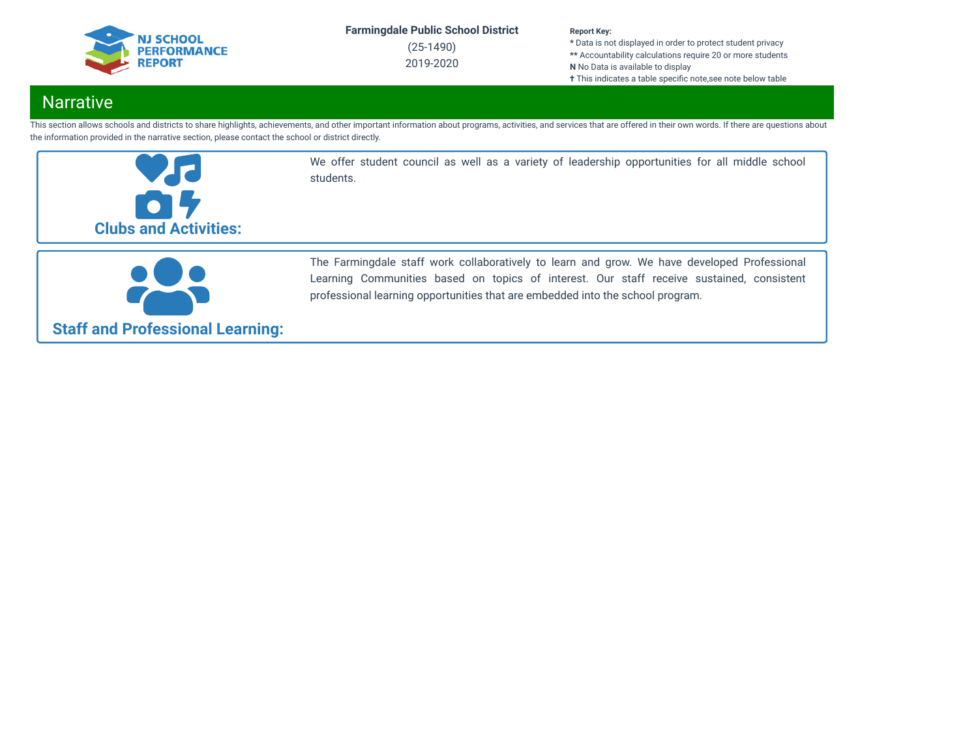

(25-1490) 2019-2020

#### **Report Key:**

**\*** Data is not displayed in order to protect student privacy **\*\*** Accountability calculations require 20 or more students **N** No Data is available to display **†** This indicates a table specific note, see note below table

## **Narrative**

This section allows schools and districts to share highlights, achievements, and other important information about programs, activities, and services that are offered in their own words. If there are questions about the information provided in the narrative section, please contact the school or district directly.



We offer student council as well as a variety of leadership opportunities for all middle school students.



The Farmingdale staff work collaboratively to learn and grow. We have developed Professional Learning Communities based on topics of interest. Our staff receive sustained, consistent professional learning opportunities that are embedded into the school program.

## **Staff and Professional Learning:**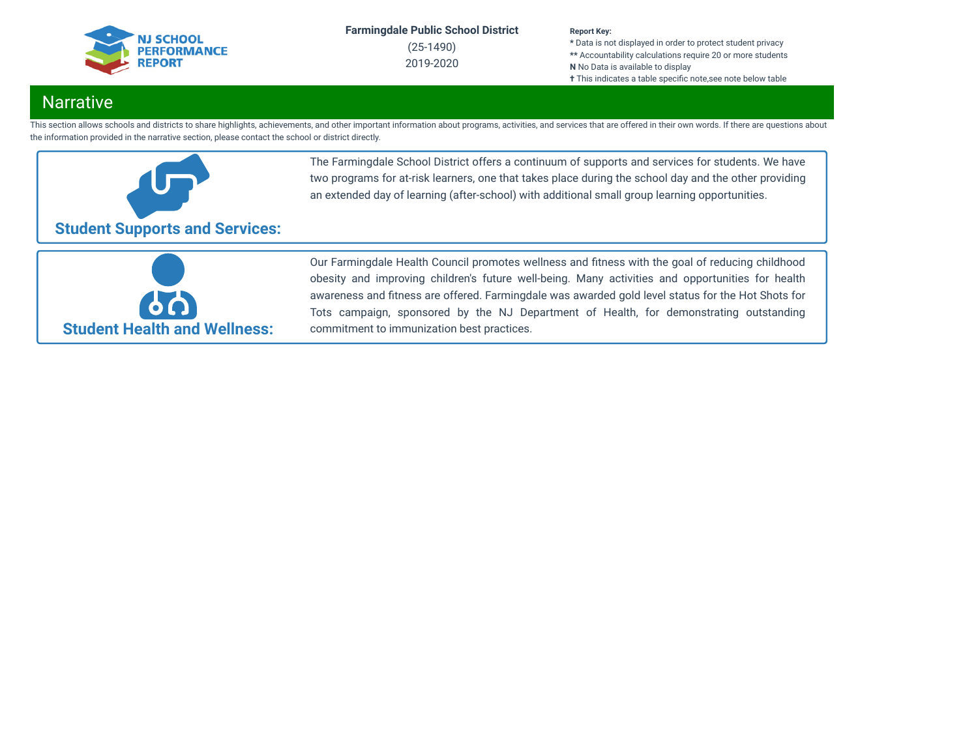

(25-1490) 2019-2020

#### **Report Key:**

**\*** Data is not displayed in order to protect student privacy **\*\*** Accountability calculations require 20 or more students **N** No Data is available to display **†** This indicates a table specific note, see note below table

## **Narrative**

This section allows schools and districts to share highlights, achievements, and other important information about programs, activities, and services that are offered in their own words. If there are questions about the information provided in the narrative section, please contact the school or district directly.



The Farmingdale School District offers a continuum of supports and services for students. We have two programs for at-risk learners, one that takes place during the school day and the other providing an extended day of learning (after-school) with additional small group learning opportunities.



Our Farmingdale Health Council promotes wellness and fitness with the goal of reducing childhood obesity and improving children's future well-being. Many activities and opportunities for health awareness and fitness are offered. Farmingdale was awarded gold level status for the Hot Shots for Tots campaign, sponsored by the NJ Department of Health, for demonstrating outstanding commitment to immunization best practices.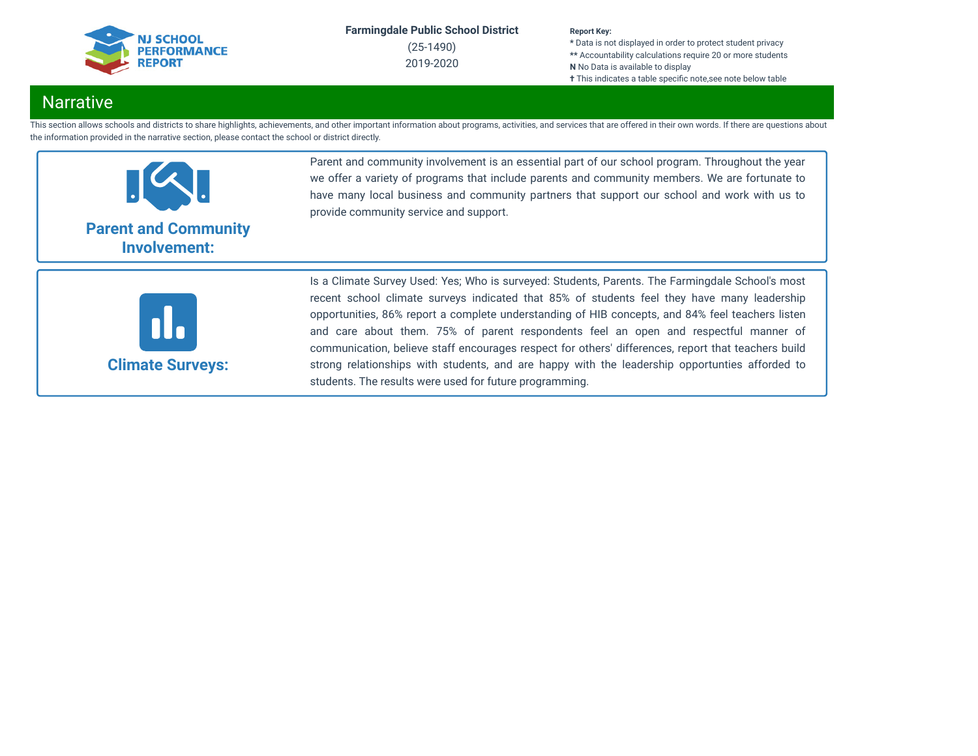

(25-1490) 2019-2020

#### **Report Key:**

**\*** Data is not displayed in order to protect student privacy **\*\*** Accountability calculations require 20 or more students **N** No Data is available to display **†** This indicates a table specific note,see note below table

## **Narrative**

This section allows schools and districts to share highlights, achievements, and other important information about programs, activities, and services that are offered in their own words. If there are questions about the information provided in the narrative section, please contact the school or district directly.



Parent and community involvement is an essential part of our school program. Throughout the year we offer a variety of programs that include parents and community members. We are fortunate to have many local business and community partners that support our school and work with us to provide community service and support.



Is a Climate Survey Used: Yes; Who is surveyed: Students, Parents. The Farmingdale School's most recent school climate surveys indicated that 85% of students feel they have many leadership opportunities, 86% report a complete understanding of HIB concepts, and 84% feel teachers listen and care about them. 75% of parent respondents feel an open and respectful manner of communication, believe staff encourages respect for others' differences, report that teachers build strong relationships with students, and are happy with the leadership opportunties afforded to students. The results were used for future programming.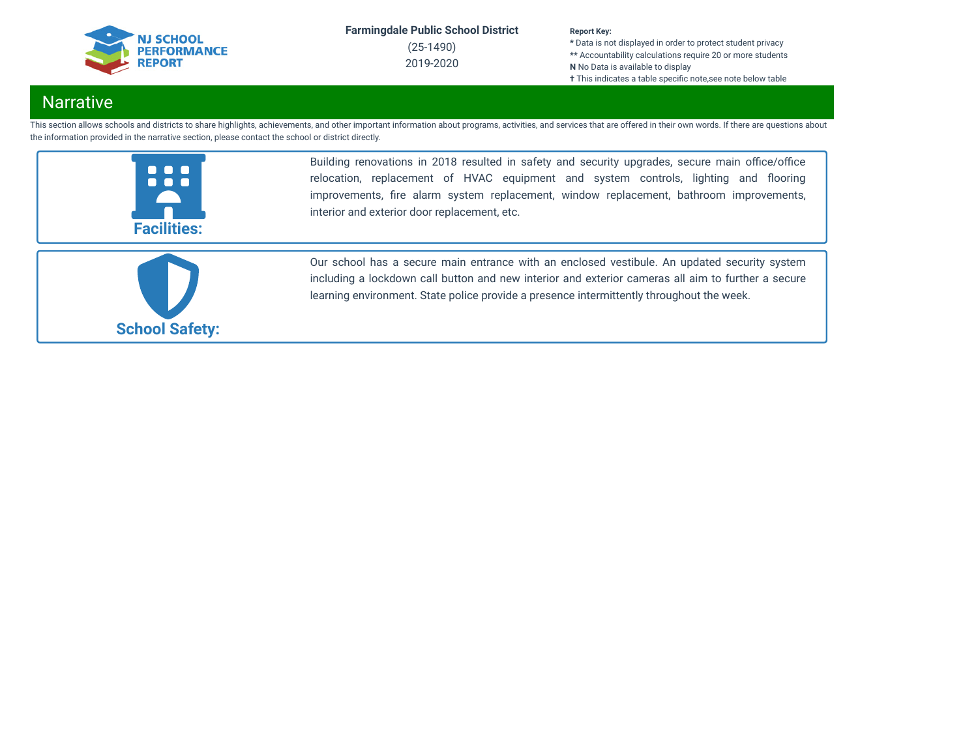

(25-1490) 2019-2020

#### **Report Key:**

**\*** Data is not displayed in order to protect student privacy **\*\*** Accountability calculations require 20 or more students **N** No Data is available to display **†** This indicates a table specific note, see note below table

## **Narrative**

This section allows schools and districts to share highlights, achievements, and other important information about programs, activities, and services that are offered in their own words. If there are questions about the information provided in the narrative section, please contact the school or district directly.



Building renovations in 2018 resulted in safety and security upgrades, secure main office/office relocation, replacement of HVAC equipment and system controls, lighting and flooring improvements, fire alarm system replacement, window replacement, bathroom improvements, interior and exterior door replacement, etc.



Our school has a secure main entrance with an enclosed vestibule. An updated security system including a lockdown call button and new interior and exterior cameras all aim to further a secure learning environment. State police provide a presence intermittently throughout the week.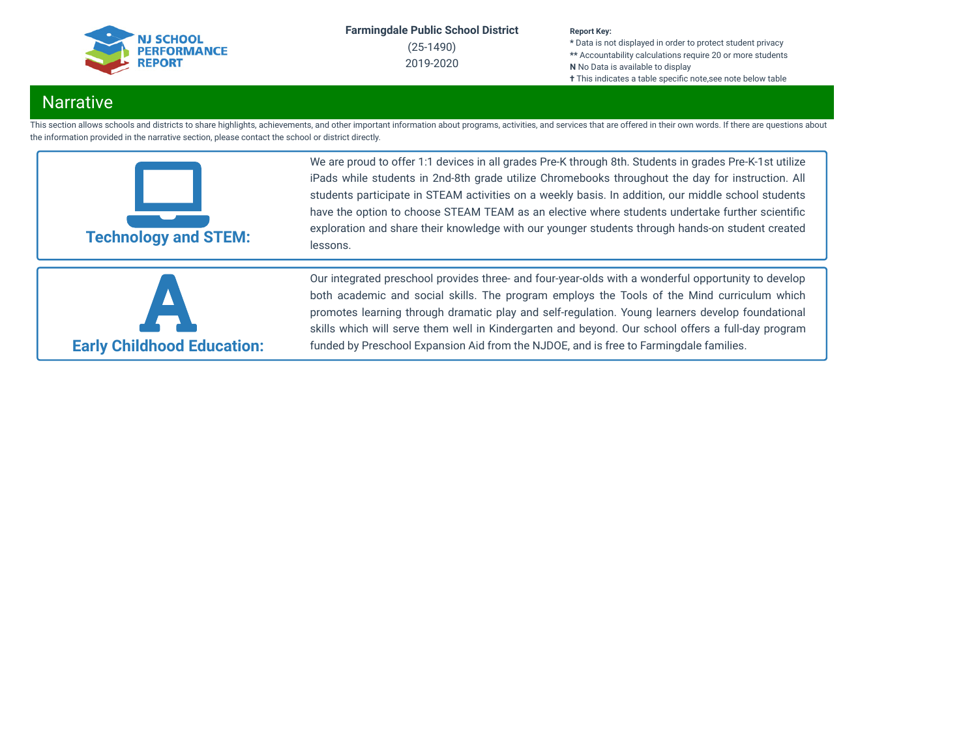

(25-1490) 2019-2020

#### **Report Key:**

**\*** Data is not displayed in order to protect student privacy **\*\*** Accountability calculations require 20 or more students **N** No Data is available to display **†** This indicates a table specific note,see note below table

## **Narrative**

This section allows schools and districts to share highlights, achievements, and other important information about programs, activities, and services that are offered in their own words. If there are questions about the information provided in the narrative section, please contact the school or district directly.



We are proud to offer 1:1 devices in all grades Pre-K through 8th. Students in grades Pre-K-1st utilize iPads while students in 2nd-8th grade utilize Chromebooks throughout the day for instruction. All students participate in STEAM activities on a weekly basis. In addition, our middle school students have the option to choose STEAM TEAM as an elective where students undertake further scientific exploration and share their knowledge with our younger students through hands-on student created lessons.



Our integrated preschool provides three- and four-year-olds with a wonderful opportunity to develop both academic and social skills. The program employs the Tools of the Mind curriculum which promotes learning through dramatic play and self-regulation. Young learners develop foundational skills which will serve them well in Kindergarten and beyond. Our school offers a full-day program funded by Preschool Expansion Aid from the NJDOE, and is free to Farmingdale families.